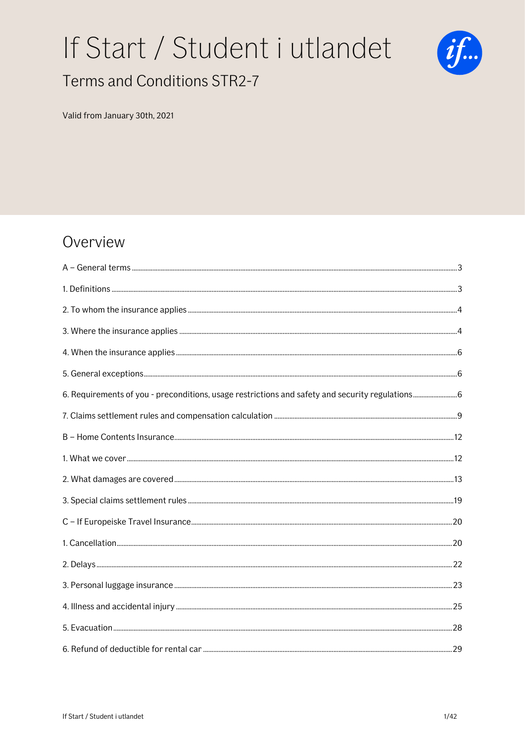# If Start / Student i utlandet Terms and Conditions STR2-7



#### Valid from January 30th, 2021

## Overview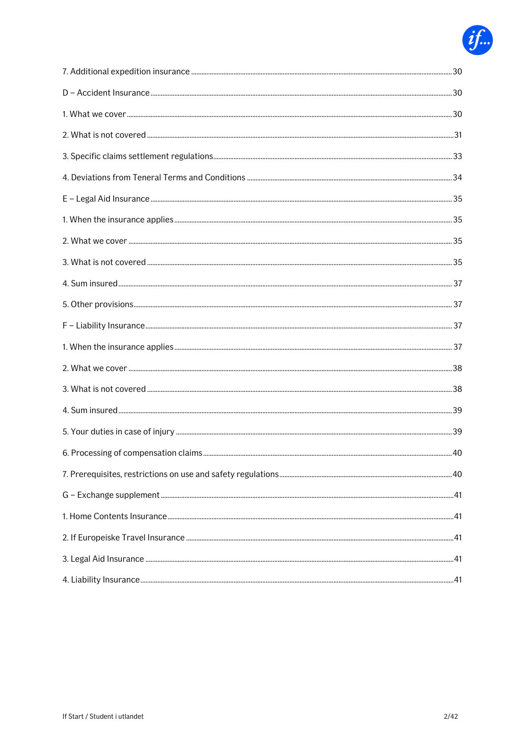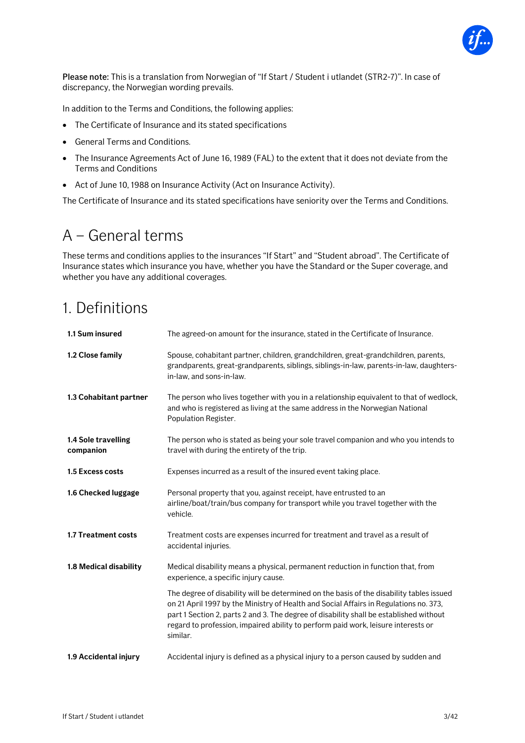

Please note: This is a translation from Norwegian of "If Start / Student i utlandet (STR2-7)". In case of discrepancy, the Norwegian wording prevails.

In addition to the Terms and Conditions, the following applies:

- The Certificate of Insurance and its stated specifications
- General Terms and Conditions.
- The Insurance Agreements Act of June 16, 1989 (FAL) to the extent that it does not deviate from the Terms and Conditions
- Act of June 10, 1988 on Insurance Activity (Act on Insurance Activity).

The Certificate of Insurance and its stated specifications have seniority over the Terms and Conditions.

## <span id="page-2-0"></span>A – General terms

These terms and conditions applies to the insurances "If Start" and "Student abroad". The Certificate of Insurance states which insurance you have, whether you have the Standard or the Super coverage, and whether you have any additional coverages.

## <span id="page-2-1"></span>1. Definitions

| 1.1 Sum insured                  | The agreed-on amount for the insurance, stated in the Certificate of Insurance.                                                                                                                                                                                                                                                                                              |
|----------------------------------|------------------------------------------------------------------------------------------------------------------------------------------------------------------------------------------------------------------------------------------------------------------------------------------------------------------------------------------------------------------------------|
| 1.2 Close family                 | Spouse, cohabitant partner, children, grandchildren, great-grandchildren, parents,<br>grandparents, great-grandparents, siblings, siblings-in-law, parents-in-law, daughters-<br>in-law, and sons-in-law.                                                                                                                                                                    |
| 1.3 Cohabitant partner           | The person who lives together with you in a relationship equivalent to that of wedlock,<br>and who is registered as living at the same address in the Norwegian National<br>Population Register.                                                                                                                                                                             |
| 1.4 Sole travelling<br>companion | The person who is stated as being your sole travel companion and who you intends to<br>travel with during the entirety of the trip.                                                                                                                                                                                                                                          |
| 1.5 Excess costs                 | Expenses incurred as a result of the insured event taking place.                                                                                                                                                                                                                                                                                                             |
| 1.6 Checked luggage              | Personal property that you, against receipt, have entrusted to an<br>airline/boat/train/bus company for transport while you travel together with the<br>vehicle.                                                                                                                                                                                                             |
| 1.7 Treatment costs              | Treatment costs are expenses incurred for treatment and travel as a result of<br>accidental injuries.                                                                                                                                                                                                                                                                        |
| 1.8 Medical disability           | Medical disability means a physical, permanent reduction in function that, from<br>experience, a specific injury cause.                                                                                                                                                                                                                                                      |
|                                  | The degree of disability will be determined on the basis of the disability tables issued<br>on 21 April 1997 by the Ministry of Health and Social Affairs in Regulations no. 373,<br>part 1 Section 2, parts 2 and 3. The degree of disability shall be established without<br>regard to profession, impaired ability to perform paid work, leisure interests or<br>similar. |
| 1.9 Accidental injury            | Accidental injury is defined as a physical injury to a person caused by sudden and                                                                                                                                                                                                                                                                                           |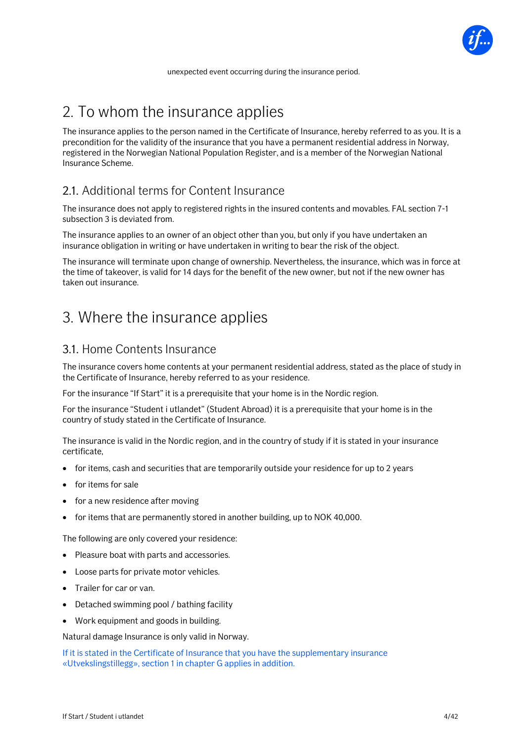

## <span id="page-3-0"></span>2. To whom the insurance applies

The insurance applies to the person named in the Certificate of Insurance, hereby referred to as you. It is a precondition for the validity of the insurance that you have a permanent residential address in Norway, registered in the Norwegian National Population Register, and is a member of the Norwegian National Insurance Scheme.

## 2.1. Additional terms for Content Insurance

The insurance does not apply to registered rights in the insured contents and movables. FAL section 7-1 subsection 3 is deviated from.

The insurance applies to an owner of an object other than you, but only if you have undertaken an insurance obligation in writing or have undertaken in writing to bear the risk of the object.

The insurance will terminate upon change of ownership. Nevertheless, the insurance, which was in force at the time of takeover, is valid for 14 days for the benefit of the new owner, but not if the new owner has taken out insurance.

## <span id="page-3-1"></span>3. Where the insurance applies

### 3.1. Home Contents Insurance

The insurance covers home contents at your permanent residential address, stated as the place of study in the Certificate of Insurance, hereby referred to as your residence.

For the insurance "If Start" it is a prerequisite that your home is in the Nordic region.

For the insurance "Student i utlandet" (Student Abroad) it is a prerequisite that your home is in the country of study stated in the Certificate of Insurance.

The insurance is valid in the Nordic region, and in the country of study if it is stated in your insurance certificate,

- for items, cash and securities that are temporarily outside your residence for up to 2 years
- for items for sale
- for a new residence after moving
- for items that are permanently stored in another building, up to NOK 40,000.

The following are only covered your residence:

- Pleasure boat with parts and accessories.
- Loose parts for private motor vehicles.
- Trailer for car or van.
- Detached swimming pool / bathing facility
- Work equipment and goods in building.

Natural damage Insurance is only valid in Norway.

If it is stated in the Certificate of Insurance that you have the supplementary insurance «Utvekslingstillegg», section 1 in chapter G applies in addition.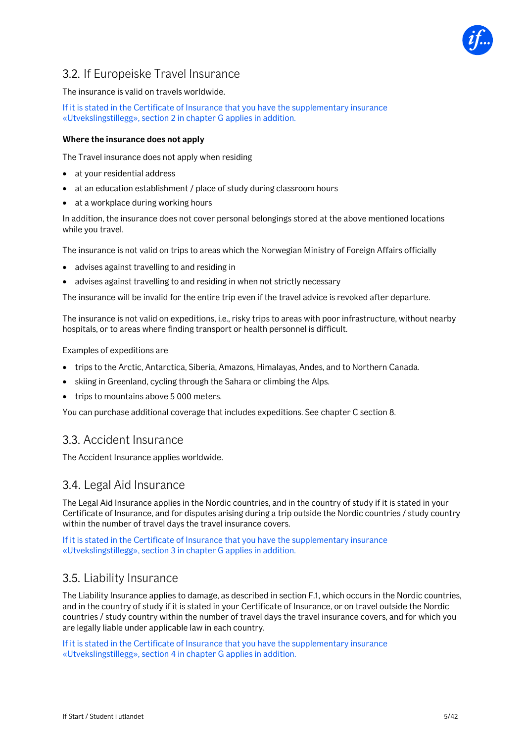

## 3.2. If Europeiske Travel Insurance

#### The insurance is valid on travels worldwide.

If it is stated in the Certificate of Insurance that you have the supplementary insurance «Utvekslingstillegg», section 2 in chapter G applies in addition.

#### **Where the insurance does not apply**

The Travel insurance does not apply when residing

- at your residential address
- at an education establishment / place of study during classroom hours
- at a workplace during working hours

In addition, the insurance does not cover personal belongings stored at the above mentioned locations while you travel.

The insurance is not valid on trips to areas which the Norwegian Ministry of Foreign Affairs officially

- advises against travelling to and residing in
- advises against travelling to and residing in when not strictly necessary

The insurance will be invalid for the entire trip even if the travel advice is revoked after departure.

The insurance is not valid on expeditions, i.e., risky trips to areas with poor infrastructure, without nearby hospitals, or to areas where finding transport or health personnel is difficult.

Examples of expeditions are

- trips to the Arctic, Antarctica, Siberia, Amazons, Himalayas, Andes, and to Northern Canada.
- skiing in Greenland, cycling through the Sahara or climbing the Alps.
- trips to mountains above 5 000 meters.

You can purchase additional coverage that includes expeditions. See chapter C section 8.

### 3.3. Accident Insurance

The Accident Insurance applies worldwide.

#### 3.4. Legal Aid Insurance

The Legal Aid Insurance applies in the Nordic countries, and in the country of study if it is stated in your Certificate of Insurance, and for disputes arising during a trip outside the Nordic countries / study country within the number of travel days the travel insurance covers.

If it is stated in the Certificate of Insurance that you have the supplementary insurance «Utvekslingstillegg», section 3 in chapter G applies in addition.

## 3.5. Liability Insurance

The Liability Insurance applies to damage, as described in section F.1, which occurs in the Nordic countries, and in the country of study if it is stated in your Certificate of Insurance, or on travel outside the Nordic countries / study country within the number of travel days the travel insurance covers, and for which you are legally liable under applicable law in each country.

If it is stated in the Certificate of Insurance that you have the supplementary insurance «Utvekslingstillegg», section 4 in chapter G applies in addition.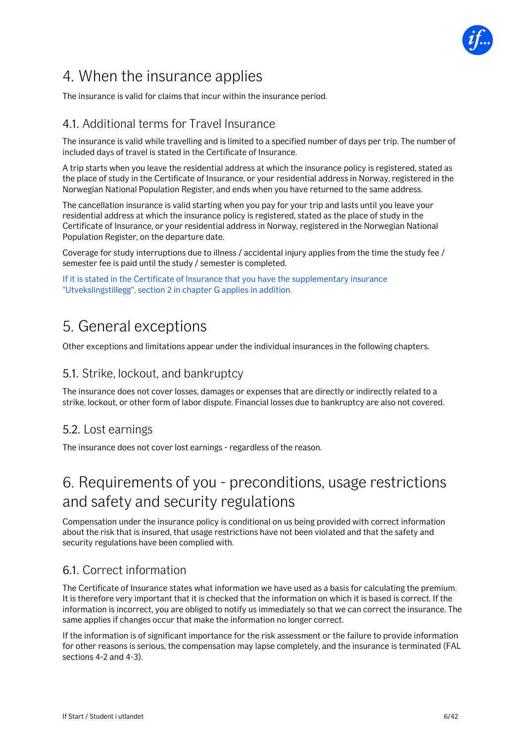

## <span id="page-5-0"></span>4. When the insurance applies

The insurance is valid for claims that incur within the insurance period.

## 4.1. Additional terms for Travel Insurance

The insurance is valid while travelling and is limited to a specified number of days per trip. The number of included days of travel is stated in the Certificate of Insurance.

A trip starts when you leave the residential address at which the insurance policy is registered, stated as the place of study in the Certificate of Insurance, or your residential address in Norway, registered in the Norwegian National Population Register, and ends when you have returned to the same address.

The cancellation insurance is valid starting when you pay for your trip and lasts until you leave your residential address at which the insurance policy is registered, stated as the place of study in the Certificate of Insurance, or your residential address in Norway, registered in the Norwegian National Population Register, on the departure date.

Coverage for study interruptions due to illness / accidental injury applies from the time the study fee / semester fee is paid until the study / semester is completed.

If it is stated in the Certificate of Insurance that you have the supplementary insurance "Utvekslingstillegg", section 2 in chapter G applies in addition.

## <span id="page-5-1"></span>5. General exceptions

Other exceptions and limitations appear under the individual insurances in the following chapters.

## 5.1. Strike, lockout, and bankruptcy

The insurance does not cover losses, damages or expenses that are directly or indirectly related to a strike, lockout, or other form of labor dispute. Financial losses due to bankruptcy are also not covered.

## 5.2. Lost earnings

The insurance does not cover lost earnings - regardless of the reason.

## <span id="page-5-2"></span>6. Requirements of you - preconditions, usage restrictions and safety and security regulations

Compensation under the insurance policy is conditional on us being provided with correct information about the risk that is insured, that usage restrictions have not been violated and that the safety and security regulations have been complied with.

## 6.1. Correct information

The Certificate of Insurance states what information we have used as a basis for calculating the premium. It is therefore very important that it is checked that the information on which it is based is correct. If the information is incorrect, you are obliged to notify us immediately so that we can correct the insurance. The same applies if changes occur that make the information no longer correct.

If the information is of significant importance for the risk assessment or the failure to provide information for other reasons is serious, the compensation may lapse completely, and the insurance is terminated (FAL sections 4-2 and 4-3).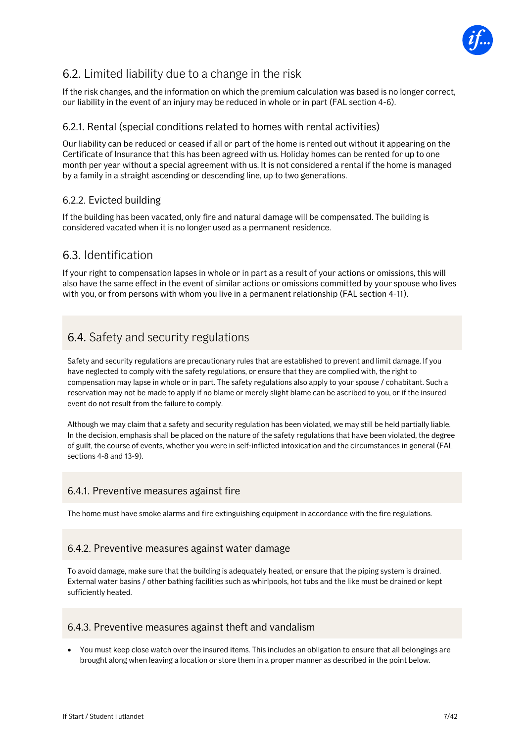

## 6.2. Limited liability due to a change in the risk

If the risk changes, and the information on which the premium calculation was based is no longer correct, our liability in the event of an injury may be reduced in whole or in part (FAL section 4-6).

### 6.2.1. Rental (special conditions related to homes with rental activities)

Our liability can be reduced or ceased if all or part of the home is rented out without it appearing on the Certificate of Insurance that this has been agreed with us. Holiday homes can be rented for up to one month per year without a special agreement with us. It is not considered a rental if the home is managed by a family in a straight ascending or descending line, up to two generations.

### 6.2.2. Evicted building

If the building has been vacated, only fire and natural damage will be compensated. The building is considered vacated when it is no longer used as a permanent residence.

## 6.3. Identification

If your right to compensation lapses in whole or in part as a result of your actions or omissions, this will also have the same effect in the event of similar actions or omissions committed by your spouse who lives with you, or from persons with whom you live in a permanent relationship (FAL section 4-11).

## 6.4. Safety and security regulations

Safety and security regulations are precautionary rules that are established to prevent and limit damage. If you have neglected to comply with the safety regulations, or ensure that they are complied with, the right to compensation may lapse in whole or in part. The safety regulations also apply to your spouse / cohabitant. Such a reservation may not be made to apply if no blame or merely slight blame can be ascribed to you, or if the insured event do not result from the failure to comply.

Although we may claim that a safety and security regulation has been violated, we may still be held partially liable. In the decision, emphasis shall be placed on the nature of the safety regulations that have been violated, the degree of guilt, the course of events, whether you were in self-inflicted intoxication and the circumstances in general (FAL sections 4-8 and 13-9).

### 6.4.1. Preventive measures against fire

The home must have smoke alarms and fire extinguishing equipment in accordance with the fire regulations.

#### 6.4.2. Preventive measures against water damage

To avoid damage, make sure that the building is adequately heated, or ensure that the piping system is drained. External water basins / other bathing facilities such as whirlpools, hot tubs and the like must be drained or kept sufficiently heated.

#### 6.4.3. Preventive measures against theft and vandalism

• You must keep close watch over the insured items. This includes an obligation to ensure that all belongings are brought along when leaving a location or store them in a proper manner as described in the point below.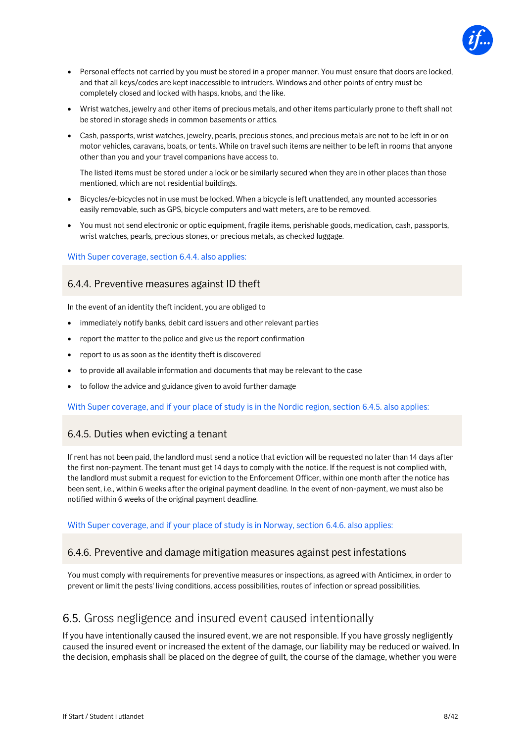

- Personal effects not carried by you must be stored in a proper manner. You must ensure that doors are locked, and that all keys/codes are kept inaccessible to intruders. Windows and other points of entry must be completely closed and locked with hasps, knobs, and the like.
- Wrist watches, jewelry and other items of precious metals, and other items particularly prone to theft shall not be stored in storage sheds in common basements or attics.
- Cash, passports, wrist watches, jewelry, pearls, precious stones, and precious metals are not to be left in or on motor vehicles, caravans, boats, or tents. While on travel such items are neither to be left in rooms that anyone other than you and your travel companions have access to.

The listed items must be stored under a lock or be similarly secured when they are in other places than those mentioned, which are not residential buildings.

- Bicycles/e-bicycles not in use must be locked. When a bicycle is left unattended, any mounted accessories easily removable, such as GPS, bicycle computers and watt meters, are to be removed.
- You must not send electronic or optic equipment, fragile items, perishable goods, medication, cash, passports, wrist watches, pearls, precious stones, or precious metals, as checked luggage.

#### With Super coverage, section 6.4.4. also applies:

#### 6.4.4. Preventive measures against ID theft

In the event of an identity theft incident, you are obliged to

- immediately notify banks, debit card issuers and other relevant parties
- report the matter to the police and give us the report confirmation
- report to us as soon as the identity theft is discovered
- to provide all available information and documents that may be relevant to the case
- to follow the advice and guidance given to avoid further damage

With Super coverage, and if your place of study is in the Nordic region, section 6.4.5. also applies:

#### 6.4.5. Duties when evicting a tenant

If rent has not been paid, the landlord must send a notice that eviction will be requested no later than 14 days after the first non-payment. The tenant must get 14 days to comply with the notice. If the request is not complied with, the landlord must submit a request for eviction to the Enforcement Officer, within one month after the notice has been sent, i.e., within 6 weeks after the original payment deadline. In the event of non-payment, we must also be notified within 6 weeks of the original payment deadline.

With Super coverage, and if your place of study is in Norway, section 6.4.6. also applies:

#### 6.4.6. Preventive and damage mitigation measures against pest infestations

You must comply with requirements for preventive measures or inspections, as agreed with Anticimex, in order to prevent or limit the pests' living conditions, access possibilities, routes of infection or spread possibilities.

### 6.5. Gross negligence and insured event caused intentionally

If you have intentionally caused the insured event, we are not responsible. If you have grossly negligently caused the insured event or increased the extent of the damage, our liability may be reduced or waived. In the decision, emphasis shall be placed on the degree of guilt, the course of the damage, whether you were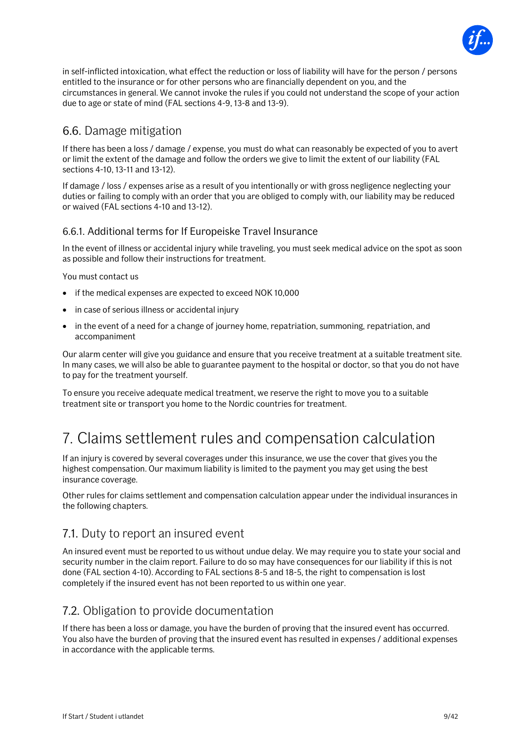

in self-inflicted intoxication, what effect the reduction or loss of liability will have for the person / persons entitled to the insurance or for other persons who are financially dependent on you, and the circumstances in general. We cannot invoke the rules if you could not understand the scope of your action due to age or state of mind (FAL sections 4-9, 13-8 and 13-9).

## 6.6. Damage mitigation

If there has been a loss / damage / expense, you must do what can reasonably be expected of you to avert or limit the extent of the damage and follow the orders we give to limit the extent of our liability (FAL sections 4-10, 13-11 and 13-12).

If damage / loss / expenses arise as a result of you intentionally or with gross negligence neglecting your duties or failing to comply with an order that you are obliged to comply with, our liability may be reduced or waived (FAL sections 4-10 and 13-12).

#### 6.6.1. Additional terms for If Europeiske Travel Insurance

In the event of illness or accidental injury while traveling, you must seek medical advice on the spot as soon as possible and follow their instructions for treatment.

You must contact us

- if the medical expenses are expected to exceed NOK 10,000
- in case of serious illness or accidental injury
- in the event of a need for a change of journey home, repatriation, summoning, repatriation, and accompaniment

Our alarm center will give you guidance and ensure that you receive treatment at a suitable treatment site. In many cases, we will also be able to guarantee payment to the hospital or doctor, so that you do not have to pay for the treatment yourself.

To ensure you receive adequate medical treatment, we reserve the right to move you to a suitable treatment site or transport you home to the Nordic countries for treatment.

## <span id="page-8-0"></span>7. Claims settlement rules and compensation calculation

If an injury is covered by several coverages under this insurance, we use the cover that gives you the highest compensation. Our maximum liability is limited to the payment you may get using the best insurance coverage.

Other rules for claims settlement and compensation calculation appear under the individual insurances in the following chapters.

## 7.1. Duty to report an insured event

An insured event must be reported to us without undue delay. We may require you to state your social and security number in the claim report. Failure to do so may have consequences for our liability if this is not done (FAL section 4-10). According to FAL sections 8-5 and 18-5, the right to compensation is lost completely if the insured event has not been reported to us within one year.

## 7.2. Obligation to provide documentation

If there has been a loss or damage, you have the burden of proving that the insured event has occurred. You also have the burden of proving that the insured event has resulted in expenses / additional expenses in accordance with the applicable terms.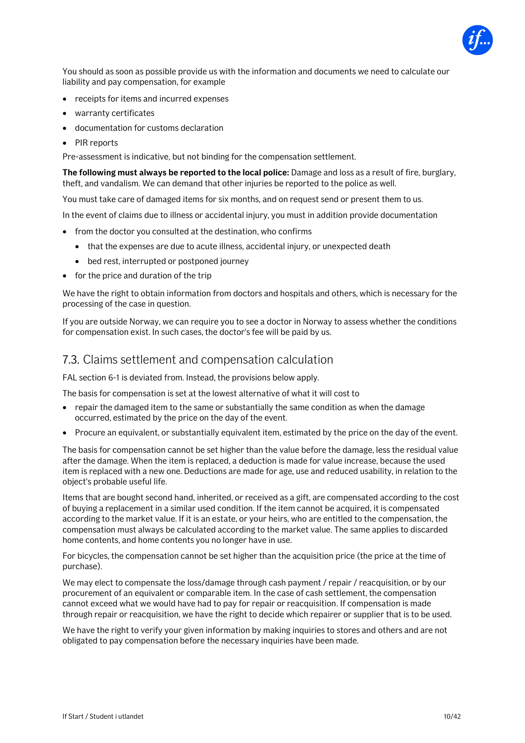

You should as soon as possible provide us with the information and documents we need to calculate our liability and pay compensation, for example

- receipts for items and incurred expenses
- warranty certificates
- documentation for customs declaration
- PIR reports

Pre-assessment is indicative, but not binding for the compensation settlement.

**The following must always be reported to the local police:** Damage and loss as a result of fire, burglary, theft, and vandalism. We can demand that other injuries be reported to the police as well.

You must take care of damaged items for six months, and on request send or present them to us.

In the event of claims due to illness or accidental injury, you must in addition provide documentation

- from the doctor you consulted at the destination, who confirms
	- that the expenses are due to acute illness, accidental injury, or unexpected death
	- bed rest, interrupted or postponed journey
- for the price and duration of the trip

We have the right to obtain information from doctors and hospitals and others, which is necessary for the processing of the case in question.

If you are outside Norway, we can require you to see a doctor in Norway to assess whether the conditions for compensation exist. In such cases, the doctor's fee will be paid by us.

### 7.3. Claims settlement and compensation calculation

FAL section 6-1 is deviated from. Instead, the provisions below apply.

The basis for compensation is set at the lowest alternative of what it will cost to

- repair the damaged item to the same or substantially the same condition as when the damage occurred, estimated by the price on the day of the event.
- Procure an equivalent, or substantially equivalent item, estimated by the price on the day of the event.

The basis for compensation cannot be set higher than the value before the damage, less the residual value after the damage. When the item is replaced, a deduction is made for value increase, because the used item is replaced with a new one. Deductions are made for age, use and reduced usability, in relation to the object's probable useful life.

Items that are bought second hand, inherited, or received as a gift, are compensated according to the cost of buying a replacement in a similar used condition. If the item cannot be acquired, it is compensated according to the market value. If it is an estate, or your heirs, who are entitled to the compensation, the compensation must always be calculated according to the market value. The same applies to discarded home contents, and home contents you no longer have in use.

For bicycles, the compensation cannot be set higher than the acquisition price (the price at the time of purchase).

We may elect to compensate the loss/damage through cash payment / repair / reacquisition, or by our procurement of an equivalent or comparable item. In the case of cash settlement, the compensation cannot exceed what we would have had to pay for repair or reacquisition. If compensation is made through repair or reacquisition, we have the right to decide which repairer or supplier that is to be used.

We have the right to verify your given information by making inquiries to stores and others and are not obligated to pay compensation before the necessary inquiries have been made.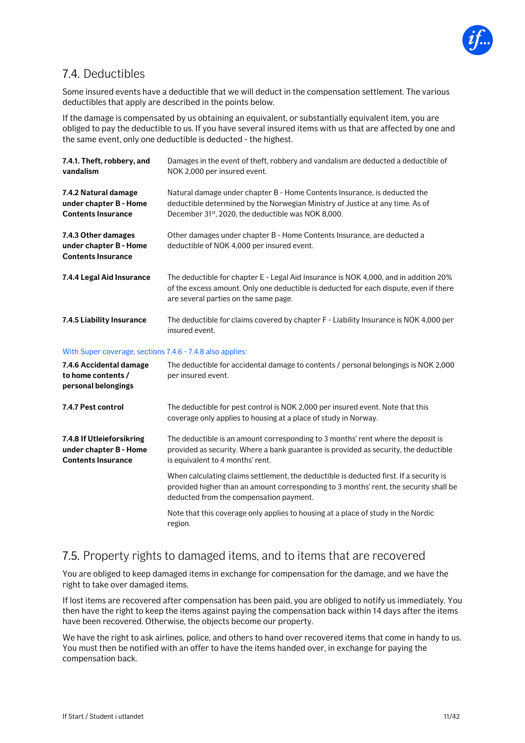

## 7.4. Deductibles

Some insured events have a deductible that we will deduct in the compensation settlement. The various deductibles that apply are described in the points below.

If the damage is compensated by us obtaining an equivalent, or substantially equivalent item, you are obliged to pay the deductible to us. If you have several insured items with us that are affected by one and the same event, only one deductible is deducted - the highest.

| 7.4.1. Theft, robbery, and<br>vandalism                                          | Damages in the event of theft, robbery and vandalism are deducted a deductible of<br>NOK 2,000 per insured event.                                                                                                      |
|----------------------------------------------------------------------------------|------------------------------------------------------------------------------------------------------------------------------------------------------------------------------------------------------------------------|
| 7.4.2 Natural damage<br>under chapter B - Home<br><b>Contents Insurance</b>      | Natural damage under chapter B - Home Contents Insurance, is deducted the<br>deductible determined by the Norwegian Ministry of Justice at any time. As of<br>December 31st, 2020, the deductible was NOK 8,000.       |
| 7.4.3 Other damages<br>under chapter B - Home<br><b>Contents Insurance</b>       | Other damages under chapter B - Home Contents Insurance, are deducted a<br>deductible of NOK 4,000 per insured event.                                                                                                  |
| 7.4.4 Legal Aid Insurance                                                        | The deductible for chapter E - Legal Aid Insurance is NOK 4,000, and in addition 20%<br>of the excess amount. Only one deductible is deducted for each dispute, even if there<br>are several parties on the same page. |
| 7.4.5 Liability Insurance                                                        | The deductible for claims covered by chapter F - Liability Insurance is NOK 4,000 per<br>insured event.                                                                                                                |
| With Super coverage, sections 7.4.6 - 7.4.8 also applies:                        |                                                                                                                                                                                                                        |
| 7.4.6 Accidental damage<br>to home contents /<br>personal belongings             | The deductible for accidental damage to contents / personal belongings is NOK 2,000<br>per insured event.                                                                                                              |
| 7.4.7 Pest control                                                               | The deductible for pest control is NOK 2,000 per insured event. Note that this<br>coverage only applies to housing at a place of study in Norway.                                                                      |
| 7.4.8 If Utleieforsikring<br>under chapter B - Home<br><b>Contents Insurance</b> | The deductible is an amount corresponding to 3 months' rent where the deposit is<br>provided as security. Where a bank guarantee is provided as security, the deductible<br>is equivalent to 4 months' rent.           |
|                                                                                  | When calculating claims settlement, the deductible is deducted first. If a security is<br>provided higher than an amount corresponding to 3 months' rent, the security shall be                                        |

deducted from the compensation payment. Note that this coverage only applies to housing at a place of study in the Nordic region.

## 7.5. Property rights to damaged items, and to items that are recovered

You are obliged to keep damaged items in exchange for compensation for the damage, and we have the right to take over damaged items.

If lost items are recovered after compensation has been paid, you are obliged to notify us immediately. You then have the right to keep the items against paying the compensation back within 14 days after the items have been recovered. Otherwise, the objects become our property.

We have the right to ask airlines, police, and others to hand over recovered items that come in handy to us. You must then be notified with an offer to have the items handed over, in exchange for paying the compensation back.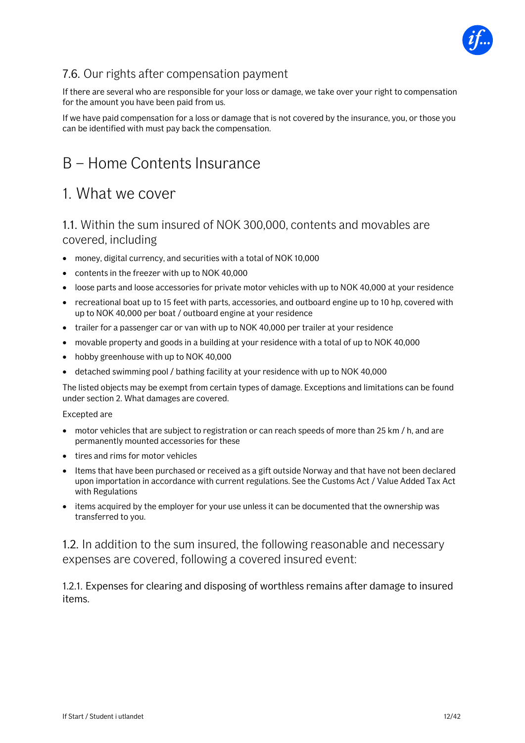

## 7.6. Our rights after compensation payment

If there are several who are responsible for your loss or damage, we take over your right to compensation for the amount you have been paid from us.

If we have paid compensation for a loss or damage that is not covered by the insurance, you, or those you can be identified with must pay back the compensation.

## <span id="page-11-0"></span>B – Home Contents Insurance

## <span id="page-11-1"></span>1. What we cover

## 1.1. Within the sum insured of NOK 300,000, contents and movables are covered, including

- money, digital currency, and securities with a total of NOK 10,000
- contents in the freezer with up to NOK 40,000
- loose parts and loose accessories for private motor vehicles with up to NOK 40,000 at your residence
- recreational boat up to 15 feet with parts, accessories, and outboard engine up to 10 hp, covered with up to NOK 40,000 per boat / outboard engine at your residence
- trailer for a passenger car or van with up to NOK 40,000 per trailer at your residence
- movable property and goods in a building at your residence with a total of up to NOK 40,000
- hobby greenhouse with up to NOK 40,000
- detached swimming pool / bathing facility at your residence with up to NOK 40,000

The listed objects may be exempt from certain types of damage. Exceptions and limitations can be found under section 2. What damages are covered.

#### Excepted are

- motor vehicles that are subject to registration or can reach speeds of more than 25 km / h, and are permanently mounted accessories for these
- tires and rims for motor vehicles
- Items that have been purchased or received as a gift outside Norway and that have not been declared upon importation in accordance with current regulations. See the Customs Act / Value Added Tax Act with Regulations
- items acquired by the employer for your use unless it can be documented that the ownership was transferred to you.

1.2. In addition to the sum insured, the following reasonable and necessary expenses are covered, following a covered insured event:

1.2.1. Expenses for clearing and disposing of worthless remains after damage to insured items.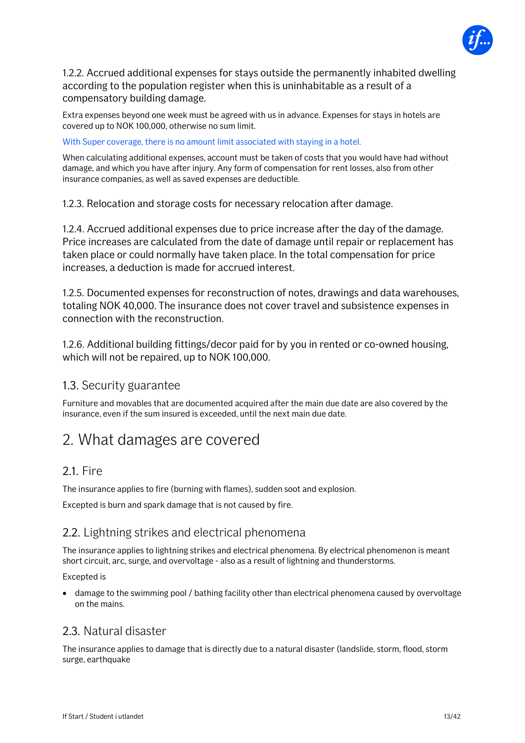

1.2.2. Accrued additional expenses for stays outside the permanently inhabited dwelling according to the population register when this is uninhabitable as a result of a compensatory building damage.

Extra expenses beyond one week must be agreed with us in advance. Expenses for stays in hotels are covered up to NOK 100,000, otherwise no sum limit.

With Super coverage, there is no amount limit associated with staying in a hotel.

When calculating additional expenses, account must be taken of costs that you would have had without damage, and which you have after injury. Any form of compensation for rent losses, also from other insurance companies, as well as saved expenses are deductible.

1.2.3. Relocation and storage costs for necessary relocation after damage.

1.2.4. Accrued additional expenses due to price increase after the day of the damage. Price increases are calculated from the date of damage until repair or replacement has taken place or could normally have taken place. In the total compensation for price increases, a deduction is made for accrued interest.

1.2.5. Documented expenses for reconstruction of notes, drawings and data warehouses, totaling NOK 40,000. The insurance does not cover travel and subsistence expenses in connection with the reconstruction.

1.2.6. Additional building fittings/decor paid for by you in rented or co-owned housing, which will not be repaired, up to NOK 100,000.

### 1.3. Security guarantee

Furniture and movables that are documented acquired after the main due date are also covered by the insurance, even if the sum insured is exceeded, until the next main due date.

## <span id="page-12-0"></span>2. What damages are covered

### 2.1. Fire

The insurance applies to fire (burning with flames), sudden soot and explosion.

Excepted is burn and spark damage that is not caused by fire.

## 2.2. Lightning strikes and electrical phenomena

The insurance applies to lightning strikes and electrical phenomena. By electrical phenomenon is meant short circuit, arc, surge, and overvoltage - also as a result of lightning and thunderstorms.

#### Excepted is

• damage to the swimming pool / bathing facility other than electrical phenomena caused by overvoltage on the mains.

### 2.3. Natural disaster

The insurance applies to damage that is directly due to a natural disaster (landslide, storm, flood, storm surge, earthquake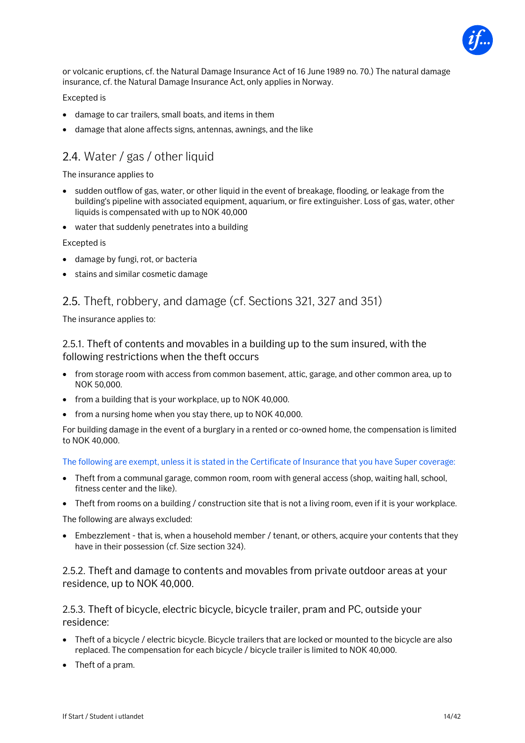

or volcanic eruptions, cf. the Natural Damage Insurance Act of 16 June 1989 no. 70.) The natural damage insurance, cf. the Natural Damage Insurance Act, only applies in Norway.

Excepted is

- damage to car trailers, small boats, and items in them
- damage that alone affects signs, antennas, awnings, and the like

## 2.4. Water / gas / other liquid

#### The insurance applies to

- sudden outflow of gas, water, or other liquid in the event of breakage, flooding, or leakage from the building's pipeline with associated equipment, aquarium, or fire extinguisher. Loss of gas, water, other liquids is compensated with up to NOK 40,000
- water that suddenly penetrates into a building

#### Excepted is

- damage by fungi, rot, or bacteria
- stains and similar cosmetic damage

## 2.5. Theft, robbery, and damage (cf. Sections 321, 327 and 351)

The insurance applies to:

2.5.1. Theft of contents and movables in a building up to the sum insured, with the following restrictions when the theft occurs

- from storage room with access from common basement, attic, garage, and other common area, up to NOK 50,000.
- from a building that is your workplace, up to NOK 40,000.
- from a nursing home when you stay there, up to NOK 40,000.

For building damage in the event of a burglary in a rented or co-owned home, the compensation is limited to NOK 40,000.

The following are exempt, unless it is stated in the Certificate of Insurance that you have Super coverage:

- Theft from a communal garage, common room, room with general access (shop, waiting hall, school, fitness center and the like).
- Theft from rooms on a building / construction site that is not a living room, even if it is your workplace.

The following are always excluded:

• Embezzlement - that is, when a household member / tenant, or others, acquire your contents that they have in their possession (cf. Size section 324).

#### 2.5.2. Theft and damage to contents and movables from private outdoor areas at your residence, up to NOK 40,000.

2.5.3. Theft of bicycle, electric bicycle, bicycle trailer, pram and PC, outside your residence:

- Theft of a bicycle / electric bicycle. Bicycle trailers that are locked or mounted to the bicycle are also replaced. The compensation for each bicycle / bicycle trailer is limited to NOK 40,000.
- Theft of a pram.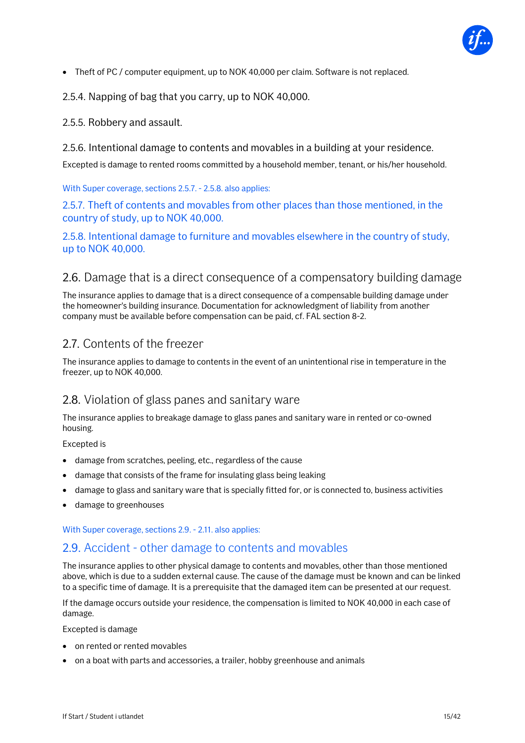

• Theft of PC / computer equipment, up to NOK 40,000 per claim. Software is not replaced.

2.5.4. Napping of bag that you carry, up to NOK 40,000.

#### 2.5.5. Robbery and assault.

#### 2.5.6. Intentional damage to contents and movables in a building at your residence.

Excepted is damage to rented rooms committed by a household member, tenant, or his/her household.

With Super coverage, sections 2.5.7. - 2.5.8. also applies:

2.5.7. Theft of contents and movables from other places than those mentioned, in the country of study, up to NOK 40,000.

2.5.8. Intentional damage to furniture and movables elsewhere in the country of study, up to NOK 40,000.

### 2.6. Damage that is a direct consequence of a compensatory building damage

The insurance applies to damage that is a direct consequence of a compensable building damage under the homeowner's building insurance. Documentation for acknowledgment of liability from another company must be available before compensation can be paid, cf. FAL section 8-2.

### 2.7. Contents of the freezer

The insurance applies to damage to contents in the event of an unintentional rise in temperature in the freezer, up to NOK 40,000.

### 2.8. Violation of glass panes and sanitary ware

The insurance applies to breakage damage to glass panes and sanitary ware in rented or co-owned housing.

Excepted is

- damage from scratches, peeling, etc., regardless of the cause
- damage that consists of the frame for insulating glass being leaking
- damage to glass and sanitary ware that is specially fitted for, or is connected to, business activities
- damage to greenhouses

With Super coverage, sections 2.9. - 2.11. also applies:

#### 2.9. Accident - other damage to contents and movables

The insurance applies to other physical damage to contents and movables, other than those mentioned above, which is due to a sudden external cause. The cause of the damage must be known and can be linked to a specific time of damage. It is a prerequisite that the damaged item can be presented at our request.

If the damage occurs outside your residence, the compensation is limited to NOK 40,000 in each case of damage.

Excepted is damage

- on rented or rented movables
- on a boat with parts and accessories, a trailer, hobby greenhouse and animals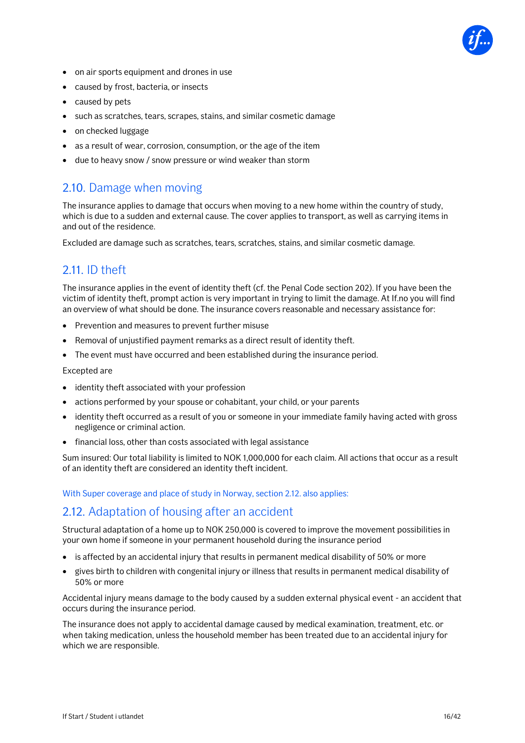

- on air sports equipment and drones in use
- caused by frost, bacteria, or insects
- caused by pets
- such as scratches, tears, scrapes, stains, and similar cosmetic damage
- on checked luggage
- as a result of wear, corrosion, consumption, or the age of the item
- due to heavy snow / snow pressure or wind weaker than storm

## 2.10. Damage when moving

The insurance applies to damage that occurs when moving to a new home within the country of study, which is due to a sudden and external cause. The cover applies to transport, as well as carrying items in and out of the residence.

Excluded are damage such as scratches, tears, scratches, stains, and similar cosmetic damage.

## 2.11. ID theft

The insurance applies in the event of identity theft (cf. the Penal Code section 202). If you have been the victim of identity theft, prompt action is very important in trying to limit the damage. At If.no you will find an overview of what should be done. The insurance covers reasonable and necessary assistance for:

- Prevention and measures to prevent further misuse
- Removal of unjustified payment remarks as a direct result of identity theft.
- The event must have occurred and been established during the insurance period.

Excepted are

- identity theft associated with your profession
- actions performed by your spouse or cohabitant, your child, or your parents
- identity theft occurred as a result of you or someone in your immediate family having acted with gross negligence or criminal action.
- financial loss, other than costs associated with legal assistance

Sum insured: Our total liability is limited to NOK 1,000,000 for each claim. All actions that occur as a result of an identity theft are considered an identity theft incident.

With Super coverage and place of study in Norway, section 2.12. also applies:

## 2.12. Adaptation of housing after an accident

Structural adaptation of a home up to NOK 250,000 is covered to improve the movement possibilities in your own home if someone in your permanent household during the insurance period

- is affected by an accidental injury that results in permanent medical disability of 50% or more
- gives birth to children with congenital injury or illness that results in permanent medical disability of 50% or more

Accidental injury means damage to the body caused by a sudden external physical event - an accident that occurs during the insurance period.

The insurance does not apply to accidental damage caused by medical examination, treatment, etc. or when taking medication, unless the household member has been treated due to an accidental injury for which we are responsible.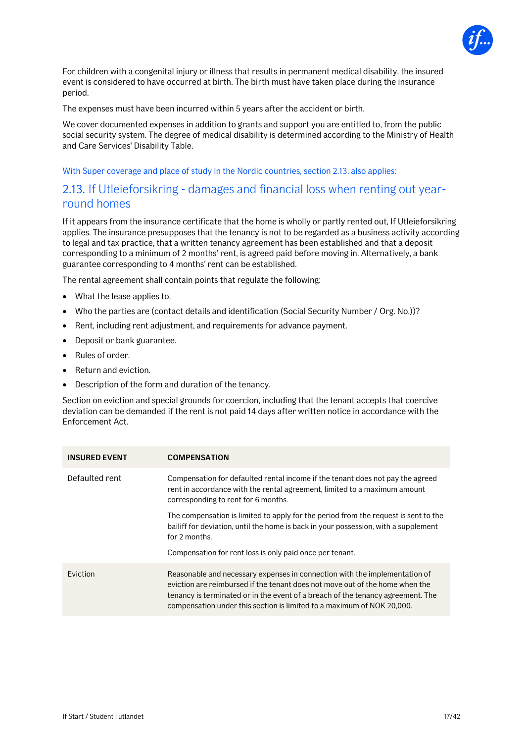

For children with a congenital injury or illness that results in permanent medical disability, the insured event is considered to have occurred at birth. The birth must have taken place during the insurance period.

The expenses must have been incurred within 5 years after the accident or birth.

We cover documented expenses in addition to grants and support you are entitled to, from the public social security system. The degree of medical disability is determined according to the Ministry of Health and Care Services' Disability Table.

#### With Super coverage and place of study in the Nordic countries, section 2.13. also applies:

### 2.13. If Utleieforsikring - damages and financial loss when renting out yearround homes

If it appears from the insurance certificate that the home is wholly or partly rented out, If Utleieforsikring applies. The insurance presupposes that the tenancy is not to be regarded as a business activity according to legal and tax practice, that a written tenancy agreement has been established and that a deposit corresponding to a minimum of 2 months' rent, is agreed paid before moving in. Alternatively, a bank guarantee corresponding to 4 months' rent can be established.

The rental agreement shall contain points that regulate the following:

- What the lease applies to.
- Who the parties are (contact details and identification (Social Security Number / Org. No.))?
- Rent, including rent adjustment, and requirements for advance payment.
- Deposit or bank guarantee.
- Rules of order.
- Return and eviction.
- Description of the form and duration of the tenancy.

Section on eviction and special grounds for coercion, including that the tenant accepts that coercive deviation can be demanded if the rent is not paid 14 days after written notice in accordance with the Enforcement Act.

| <b>INSURED EVENT</b> | <b>COMPENSATION</b>                                                                                                                                                                                                                                                                                                     |
|----------------------|-------------------------------------------------------------------------------------------------------------------------------------------------------------------------------------------------------------------------------------------------------------------------------------------------------------------------|
| Defaulted rent       | Compensation for defaulted rental income if the tenant does not pay the agreed<br>rent in accordance with the rental agreement, limited to a maximum amount<br>corresponding to rent for 6 months.                                                                                                                      |
|                      | The compensation is limited to apply for the period from the request is sent to the<br>bailiff for deviation, until the home is back in your possession, with a supplement<br>for 2 months.                                                                                                                             |
|                      | Compensation for rent loss is only paid once per tenant.                                                                                                                                                                                                                                                                |
| Eviction             | Reasonable and necessary expenses in connection with the implementation of<br>eviction are reimbursed if the tenant does not move out of the home when the<br>tenancy is terminated or in the event of a breach of the tenancy agreement. The<br>compensation under this section is limited to a maximum of NOK 20,000. |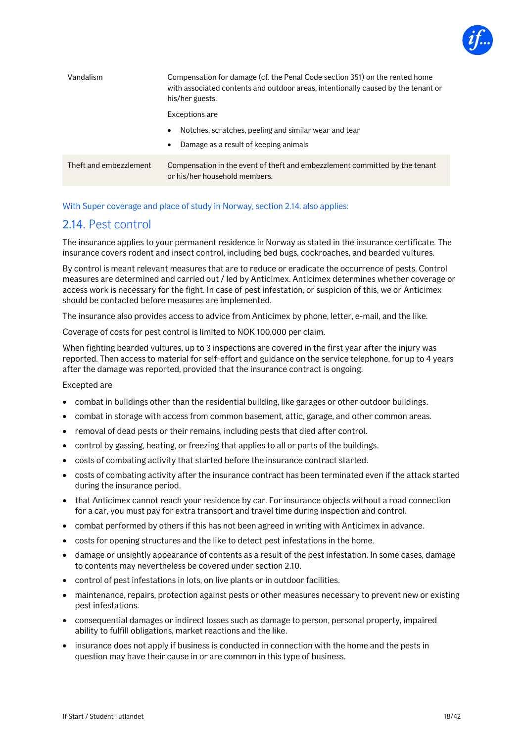

| Vandalism              | Compensation for damage (cf. the Penal Code section 351) on the rented home<br>with associated contents and outdoor areas, intentionally caused by the tenant or<br>his/her guests. |
|------------------------|-------------------------------------------------------------------------------------------------------------------------------------------------------------------------------------|
|                        | Exceptions are                                                                                                                                                                      |
|                        | Notches, scratches, peeling and similar wear and tear<br>$\bullet$<br>Damage as a result of keeping animals<br>$\bullet$                                                            |
| Theft and embezzlement | Compensation in the event of theft and embezzlement committed by the tenant<br>or his/her household members.                                                                        |

#### With Super coverage and place of study in Norway, section 2.14. also applies:

## 2.14. Pest control

The insurance applies to your permanent residence in Norway as stated in the insurance certificate. The insurance covers rodent and insect control, including bed bugs, cockroaches, and bearded vultures.

By control is meant relevant measures that are to reduce or eradicate the occurrence of pests. Control measures are determined and carried out / led by Anticimex. Anticimex determines whether coverage or access work is necessary for the fight. In case of pest infestation, or suspicion of this, we or Anticimex should be contacted before measures are implemented.

The insurance also provides access to advice from Anticimex by phone, letter, e-mail, and the like.

Coverage of costs for pest control is limited to NOK 100,000 per claim.

When fighting bearded vultures, up to 3 inspections are covered in the first year after the injury was reported. Then access to material for self-effort and guidance on the service telephone, for up to 4 years after the damage was reported, provided that the insurance contract is ongoing.

Excepted are

- combat in buildings other than the residential building, like garages or other outdoor buildings.
- combat in storage with access from common basement, attic, garage, and other common areas.
- removal of dead pests or their remains, including pests that died after control.
- control by gassing, heating, or freezing that applies to all or parts of the buildings.
- costs of combating activity that started before the insurance contract started.
- costs of combating activity after the insurance contract has been terminated even if the attack started during the insurance period.
- that Anticimex cannot reach your residence by car. For insurance objects without a road connection for a car, you must pay for extra transport and travel time during inspection and control.
- combat performed by others if this has not been agreed in writing with Anticimex in advance.
- costs for opening structures and the like to detect pest infestations in the home.
- damage or unsightly appearance of contents as a result of the pest infestation. In some cases, damage to contents may nevertheless be covered under section 2.10.
- control of pest infestations in lots, on live plants or in outdoor facilities.
- maintenance, repairs, protection against pests or other measures necessary to prevent new or existing pest infestations.
- consequential damages or indirect losses such as damage to person, personal property, impaired ability to fulfill obligations, market reactions and the like.
- insurance does not apply if business is conducted in connection with the home and the pests in question may have their cause in or are common in this type of business.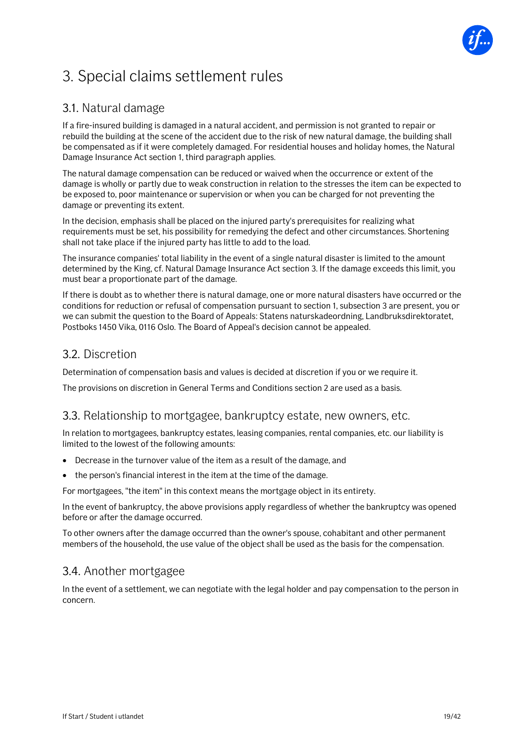

## <span id="page-18-0"></span>3. Special claims settlement rules

## 3.1. Natural damage

If a fire-insured building is damaged in a natural accident, and permission is not granted to repair or rebuild the building at the scene of the accident due to the risk of new natural damage, the building shall be compensated as if it were completely damaged. For residential houses and holiday homes, the Natural Damage Insurance Act section 1, third paragraph applies.

The natural damage compensation can be reduced or waived when the occurrence or extent of the damage is wholly or partly due to weak construction in relation to the stresses the item can be expected to be exposed to, poor maintenance or supervision or when you can be charged for not preventing the damage or preventing its extent.

In the decision, emphasis shall be placed on the injured party's prerequisites for realizing what requirements must be set, his possibility for remedying the defect and other circumstances. Shortening shall not take place if the injured party has little to add to the load.

The insurance companies' total liability in the event of a single natural disaster is limited to the amount determined by the King, cf. Natural Damage Insurance Act section 3. If the damage exceeds this limit, you must bear a proportionate part of the damage.

If there is doubt as to whether there is natural damage, one or more natural disasters have occurred or the conditions for reduction or refusal of compensation pursuant to section 1, subsection 3 are present, you or we can submit the question to the Board of Appeals: Statens naturskadeordning, Landbruksdirektoratet, Postboks 1450 Vika, 0116 Oslo. The Board of Appeal's decision cannot be appealed.

## 3.2. Discretion

Determination of compensation basis and values is decided at discretion if you or we require it.

The provisions on discretion in General Terms and Conditions section 2 are used as a basis.

## 3.3. Relationship to mortgagee, bankruptcy estate, new owners, etc.

In relation to mortgagees, bankruptcy estates, leasing companies, rental companies, etc. our liability is limited to the lowest of the following amounts:

- Decrease in the turnover value of the item as a result of the damage, and
- the person's financial interest in the item at the time of the damage.

For mortgagees, "the item" in this context means the mortgage object in its entirety.

In the event of bankruptcy, the above provisions apply regardless of whether the bankruptcy was opened before or after the damage occurred.

To other owners after the damage occurred than the owner's spouse, cohabitant and other permanent members of the household, the use value of the object shall be used as the basis for the compensation.

## 3.4. Another mortgagee

In the event of a settlement, we can negotiate with the legal holder and pay compensation to the person in concern.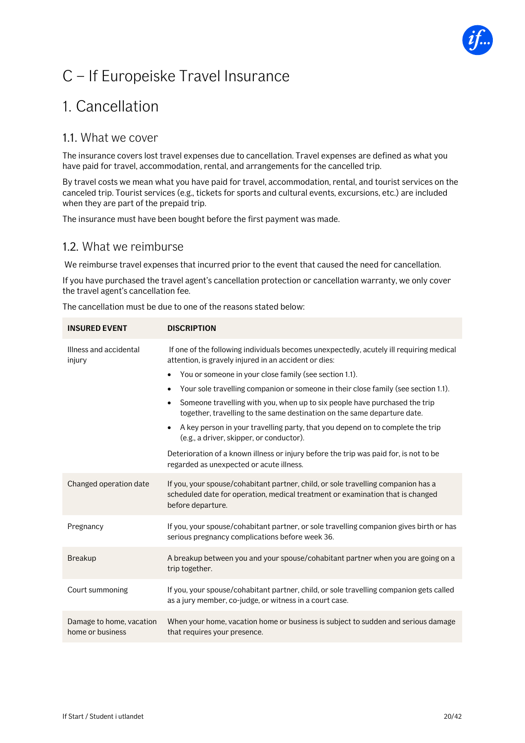

## <span id="page-19-0"></span>C – If Europeiske Travel Insurance

## <span id="page-19-1"></span>1. Cancellation

## 1.1. What we cover

The insurance covers lost travel expenses due to cancellation. Travel expenses are defined as what you have paid for travel, accommodation, rental, and arrangements for the cancelled trip.

By travel costs we mean what you have paid for travel, accommodation, rental, and tourist services on the canceled trip. Tourist services (e.g., tickets for sports and cultural events, excursions, etc.) are included when they are part of the prepaid trip.

The insurance must have been bought before the first payment was made.

### 1.2. What we reimburse

We reimburse travel expenses that incurred prior to the event that caused the need for cancellation.

If you have purchased the travel agent's cancellation protection or cancellation warranty, we only cover the travel agent's cancellation fee.

The cancellation must be due to one of the reasons stated below:

| <b>INSURED EVENT</b>                         | <b>DISCRIPTION</b>                                                                                                                                                                       |
|----------------------------------------------|------------------------------------------------------------------------------------------------------------------------------------------------------------------------------------------|
| Illness and accidental<br>injury             | If one of the following individuals becomes unexpectedly, acutely ill requiring medical<br>attention, is gravely injured in an accident or dies:                                         |
|                                              | You or someone in your close family (see section 1.1).                                                                                                                                   |
|                                              | Your sole travelling companion or someone in their close family (see section 1.1).<br>$\bullet$                                                                                          |
|                                              | Someone travelling with you, when up to six people have purchased the trip<br>$\bullet$<br>together, travelling to the same destination on the same departure date.                      |
|                                              | A key person in your travelling party, that you depend on to complete the trip<br>(e.g., a driver, skipper, or conductor).                                                               |
|                                              | Deterioration of a known illness or injury before the trip was paid for, is not to be<br>regarded as unexpected or acute illness.                                                        |
| Changed operation date                       | If you, your spouse/cohabitant partner, child, or sole travelling companion has a<br>scheduled date for operation, medical treatment or examination that is changed<br>before departure. |
| Pregnancy                                    | If you, your spouse/cohabitant partner, or sole travelling companion gives birth or has<br>serious pregnancy complications before week 36.                                               |
| <b>Breakup</b>                               | A breakup between you and your spouse/cohabitant partner when you are going on a<br>trip together.                                                                                       |
| Court summoning                              | If you, your spouse/cohabitant partner, child, or sole travelling companion gets called<br>as a jury member, co-judge, or witness in a court case.                                       |
| Damage to home, vacation<br>home or business | When your home, vacation home or business is subject to sudden and serious damage<br>that requires your presence.                                                                        |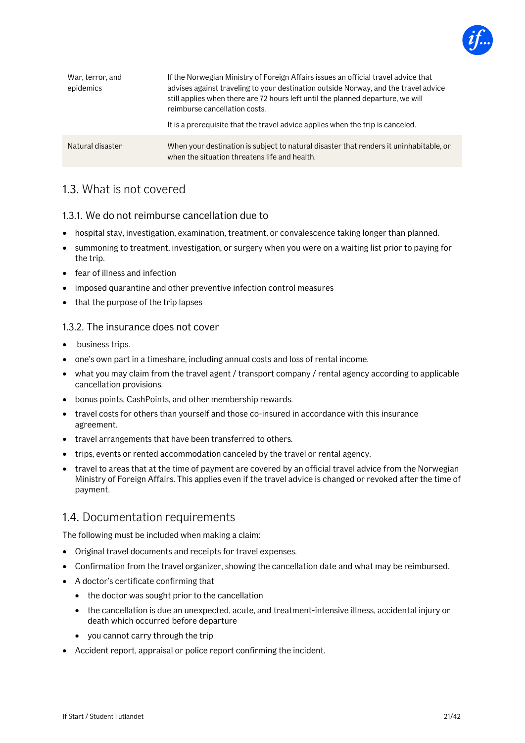

| War, terror, and<br>epidemics | If the Norwegian Ministry of Foreign Affairs issues an official travel advice that<br>advises against traveling to your destination outside Norway, and the travel advice<br>still applies when there are 72 hours left until the planned departure, we will<br>reimburse cancellation costs.<br>It is a prerequisite that the travel advice applies when the trip is canceled. |
|-------------------------------|---------------------------------------------------------------------------------------------------------------------------------------------------------------------------------------------------------------------------------------------------------------------------------------------------------------------------------------------------------------------------------|
| Natural disaster              | When your destination is subject to natural disaster that renders it uninhabitable, or<br>when the situation threatens life and health.                                                                                                                                                                                                                                         |

## 1.3. What is not covered

#### 1.3.1. We do not reimburse cancellation due to

- hospital stay, investigation, examination, treatment, or convalescence taking longer than planned.
- summoning to treatment, investigation, or surgery when you were on a waiting list prior to paying for the trip.
- fear of illness and infection
- imposed quarantine and other preventive infection control measures
- that the purpose of the trip lapses

#### 1.3.2. The insurance does not cover

- business trips.
- one's own part in a timeshare, including annual costs and loss of rental income.
- what you may claim from the travel agent / transport company / rental agency according to applicable cancellation provisions.
- bonus points, CashPoints, and other membership rewards.
- travel costs for others than yourself and those co-insured in accordance with this insurance agreement.
- travel arrangements that have been transferred to others.
- trips, events or rented accommodation canceled by the travel or rental agency.
- travel to areas that at the time of payment are covered by an official travel advice from the Norwegian Ministry of Foreign Affairs. This applies even if the travel advice is changed or revoked after the time of payment.

### 1.4. Documentation requirements

The following must be included when making a claim:

- Original travel documents and receipts for travel expenses.
- Confirmation from the travel organizer, showing the cancellation date and what may be reimbursed.
- A doctor's certificate confirming that
	- the doctor was sought prior to the cancellation
	- the cancellation is due an unexpected, acute, and treatment-intensive illness, accidental injury or death which occurred before departure
	- you cannot carry through the trip
- Accident report, appraisal or police report confirming the incident.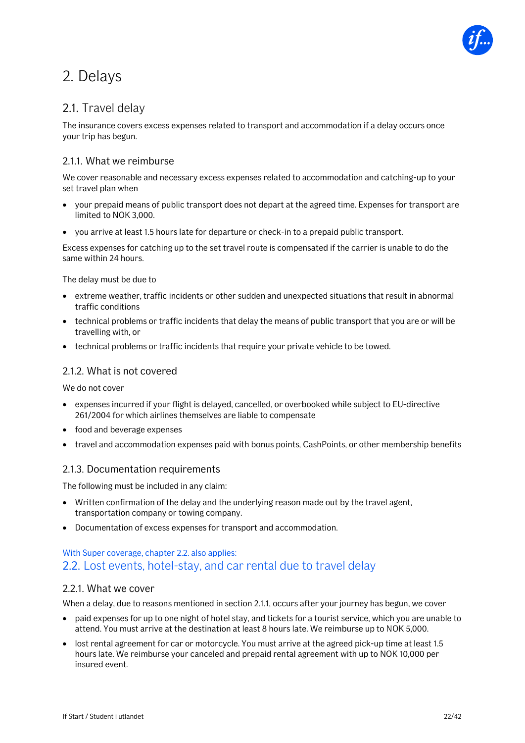

## <span id="page-21-0"></span>2. Delays

## 2.1. Travel delay

The insurance covers excess expenses related to transport and accommodation if a delay occurs once your trip has begun.

#### 2.1.1. What we reimburse

We cover reasonable and necessary excess expenses related to accommodation and catching-up to your set travel plan when

- your prepaid means of public transport does not depart at the agreed time. Expenses for transport are limited to NOK 3,000.
- you arrive at least 1.5 hours late for departure or check-in to a prepaid public transport.

Excess expenses for catching up to the set travel route is compensated if the carrier is unable to do the same within 24 hours.

The delay must be due to

- extreme weather, traffic incidents or other sudden and unexpected situations that result in abnormal traffic conditions
- technical problems or traffic incidents that delay the means of public transport that you are or will be travelling with, or
- technical problems or traffic incidents that require your private vehicle to be towed.

#### 2.1.2. What is not covered

We do not cover

- expenses incurred if your flight is delayed, cancelled, or overbooked while subject to EU-directive 261/2004 for which airlines themselves are liable to compensate
- food and beverage expenses
- travel and accommodation expenses paid with bonus points, CashPoints, or other membership benefits

#### 2.1.3. Documentation requirements

The following must be included in any claim:

- Written confirmation of the delay and the underlying reason made out by the travel agent, transportation company or towing company.
- Documentation of excess expenses for transport and accommodation.

### With Super coverage, chapter 2.2. also applies: 2.2. Lost events, hotel-stay, and car rental due to travel delay

#### 2.2.1. What we cover

When a delay, due to reasons mentioned in section 2.1.1, occurs after your journey has begun, we cover

- paid expenses for up to one night of hotel stay, and tickets for a tourist service, which you are unable to attend. You must arrive at the destination at least 8 hours late. We reimburse up to NOK 5,000.
- lost rental agreement for car or motorcycle. You must arrive at the agreed pick-up time at least 1.5 hours late. We reimburse your canceled and prepaid rental agreement with up to NOK 10,000 per insured event.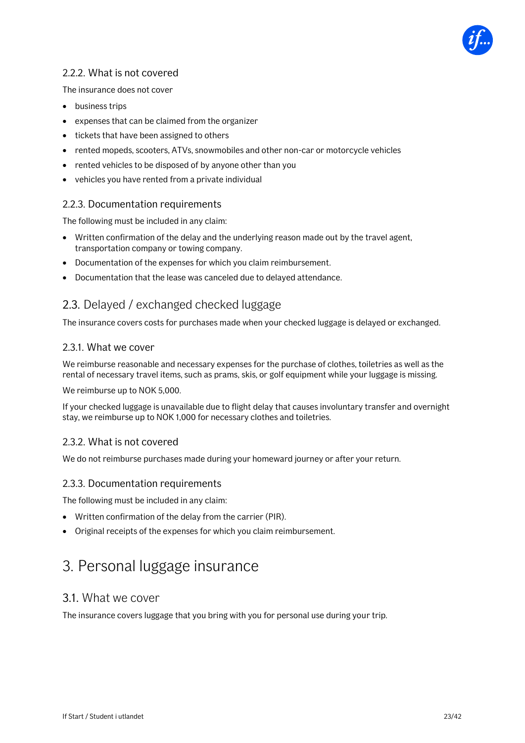

### 2.2.2. What is not covered

The insurance does not cover

- business trips
- expenses that can be claimed from the organizer
- tickets that have been assigned to others
- rented mopeds, scooters, ATVs, snowmobiles and other non-car or motorcycle vehicles
- rented vehicles to be disposed of by anyone other than you
- vehicles you have rented from a private individual

#### 2.2.3. Documentation requirements

The following must be included in any claim:

- Written confirmation of the delay and the underlying reason made out by the travel agent, transportation company or towing company.
- Documentation of the expenses for which you claim reimbursement.
- Documentation that the lease was canceled due to delayed attendance.

### 2.3. Delayed / exchanged checked luggage

The insurance covers costs for purchases made when your checked luggage is delayed or exchanged.

#### 2.3.1. What we cover

We reimburse reasonable and necessary expenses for the purchase of clothes, toiletries as well as the rental of necessary travel items, such as prams, skis, or golf equipment while your luggage is missing.

We reimburse up to NOK 5,000.

If your checked luggage is unavailable due to flight delay that causes involuntary transfer and overnight stay, we reimburse up to NOK 1,000 for necessary clothes and toiletries.

#### 2.3.2. What is not covered

We do not reimburse purchases made during your homeward journey or after your return.

#### 2.3.3. Documentation requirements

The following must be included in any claim:

- Written confirmation of the delay from the carrier (PIR).
- <span id="page-22-0"></span>• Original receipts of the expenses for which you claim reimbursement.

## 3. Personal luggage insurance

#### 3.1. What we cover

The insurance covers luggage that you bring with you for personal use during your trip.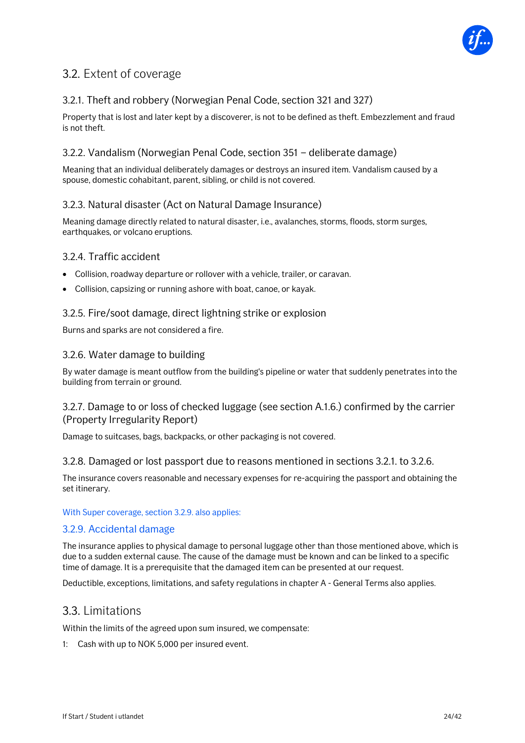

## 3.2. Extent of coverage

### 3.2.1. Theft and robbery (Norwegian Penal Code, section 321 and 327)

Property that is lost and later kept by a discoverer, is not to be defined as theft. Embezzlement and fraud is not theft.

#### 3.2.2. Vandalism (Norwegian Penal Code, section 351 – deliberate damage)

Meaning that an individual deliberately damages or destroys an insured item. Vandalism caused by a spouse, domestic cohabitant, parent, sibling, or child is not covered.

#### 3.2.3. Natural disaster (Act on Natural Damage Insurance)

Meaning damage directly related to natural disaster, i.e., avalanches, storms, floods, storm surges, earthquakes, or volcano eruptions.

#### 3.2.4. Traffic accident

- Collision, roadway departure or rollover with a vehicle, trailer, or caravan.
- Collision, capsizing or running ashore with boat, canoe, or kayak.

#### 3.2.5. Fire/soot damage, direct lightning strike or explosion

Burns and sparks are not considered a fire.

#### 3.2.6. Water damage to building

By water damage is meant outflow from the building's pipeline or water that suddenly penetrates into the building from terrain or ground.

#### 3.2.7. Damage to or loss of checked luggage (see section A.1.6.) confirmed by the carrier (Property Irregularity Report)

Damage to suitcases, bags, backpacks, or other packaging is not covered.

#### 3.2.8. Damaged or lost passport due to reasons mentioned in sections 3.2.1. to 3.2.6.

The insurance covers reasonable and necessary expenses for re-acquiring the passport and obtaining the set itinerary.

#### With Super coverage, section 3.2.9. also applies:

#### 3.2.9. Accidental damage

The insurance applies to physical damage to personal luggage other than those mentioned above, which is due to a sudden external cause. The cause of the damage must be known and can be linked to a specific time of damage. It is a prerequisite that the damaged item can be presented at our request.

Deductible, exceptions, limitations, and safety regulations in chapter A - General Terms also applies.

#### 3.3. Limitations

Within the limits of the agreed upon sum insured, we compensate:

1: Cash with up to NOK 5,000 per insured event.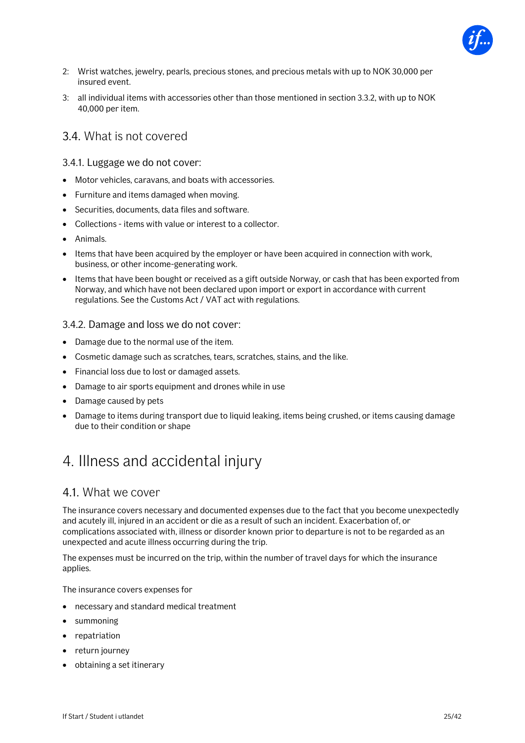

- 2: Wrist watches, jewelry, pearls, precious stones, and precious metals with up to NOK 30,000 per insured event.
- 3: all individual items with accessories other than those mentioned in section 3.3.2, with up to NOK 40,000 per item.

### 3.4. What is not covered

#### 3.4.1. Luggage we do not cover:

- Motor vehicles, caravans, and boats with accessories.
- Furniture and items damaged when moving.
- Securities, documents, data files and software.
- Collections items with value or interest to a collector.
- Animals.
- Items that have been acquired by the employer or have been acquired in connection with work, business, or other income-generating work.
- Items that have been bought or received as a gift outside Norway, or cash that has been exported from Norway, and which have not been declared upon import or export in accordance with current regulations. See the Customs Act / VAT act with regulations.

#### 3.4.2. Damage and loss we do not cover:

- Damage due to the normal use of the item.
- Cosmetic damage such as scratches, tears, scratches, stains, and the like.
- Financial loss due to lost or damaged assets.
- Damage to air sports equipment and drones while in use
- Damage caused by pets
- Damage to items during transport due to liquid leaking, items being crushed, or items causing damage due to their condition or shape

## <span id="page-24-0"></span>4. Illness and accidental injury

#### 4.1. What we cover

The insurance covers necessary and documented expenses due to the fact that you become unexpectedly and acutely ill, injured in an accident or die as a result of such an incident. Exacerbation of, or complications associated with, illness or disorder known prior to departure is not to be regarded as an unexpected and acute illness occurring during the trip.

The expenses must be incurred on the trip, within the number of travel days for which the insurance applies.

The insurance covers expenses for

- necessary and standard medical treatment
- summoning
- repatriation
- return journey
- obtaining a set itinerary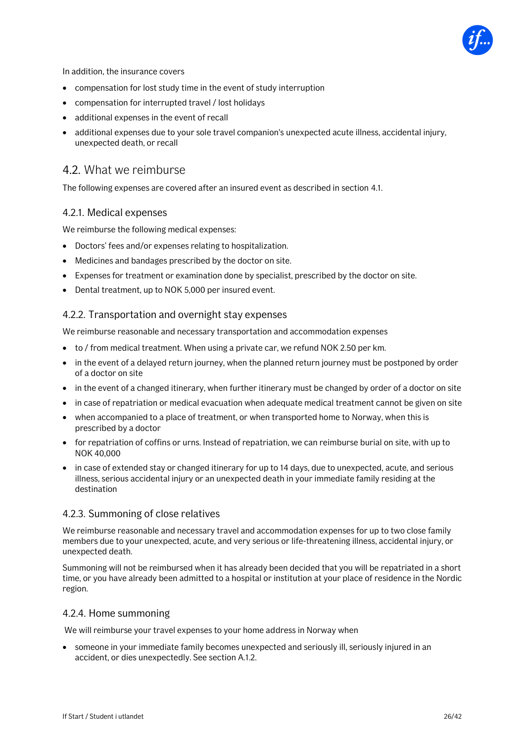

In addition, the insurance covers

- compensation for lost study time in the event of study interruption
- compensation for interrupted travel / lost holidays
- additional expenses in the event of recall
- additional expenses due to your sole travel companion's unexpected acute illness, accidental injury, unexpected death, or recall

### 4.2. What we reimburse

The following expenses are covered after an insured event as described in section 4.1.

#### 4.2.1. Medical expenses

We reimburse the following medical expenses:

- Doctors' fees and/or expenses relating to hospitalization.
- Medicines and bandages prescribed by the doctor on site.
- Expenses for treatment or examination done by specialist, prescribed by the doctor on site.
- Dental treatment, up to NOK 5,000 per insured event.

#### 4.2.2. Transportation and overnight stay expenses

We reimburse reasonable and necessary transportation and accommodation expenses

- to / from medical treatment. When using a private car, we refund NOK 2.50 per km.
- in the event of a delayed return journey, when the planned return journey must be postponed by order of a doctor on site
- in the event of a changed itinerary, when further itinerary must be changed by order of a doctor on site
- in case of repatriation or medical evacuation when adequate medical treatment cannot be given on site
- when accompanied to a place of treatment, or when transported home to Norway, when this is prescribed by a doctor
- for repatriation of coffins or urns. Instead of repatriation, we can reimburse burial on site, with up to NOK 40,000
- in case of extended stay or changed itinerary for up to 14 days, due to unexpected, acute, and serious illness, serious accidental injury or an unexpected death in your immediate family residing at the destination

#### 4.2.3. Summoning of close relatives

We reimburse reasonable and necessary travel and accommodation expenses for up to two close family members due to your unexpected, acute, and very serious or life-threatening illness, accidental injury, or unexpected death.

Summoning will not be reimbursed when it has already been decided that you will be repatriated in a short time, or you have already been admitted to a hospital or institution at your place of residence in the Nordic region.

#### 4.2.4. Home summoning

We will reimburse your travel expenses to your home address in Norway when

• someone in your immediate family becomes unexpected and seriously ill, seriously injured in an accident, or dies unexpectedly. See section A.1.2.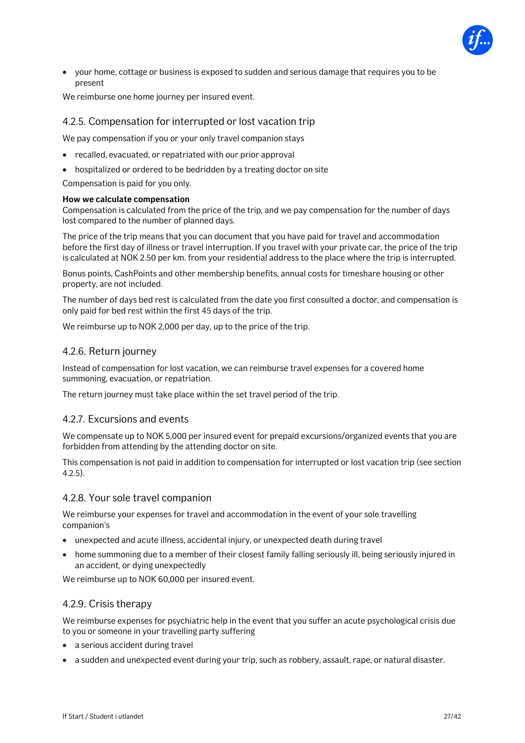

• your home, cottage or business is exposed to sudden and serious damage that requires you to be present

We reimburse one home journey per insured event.

#### 4.2.5. Compensation for interrupted or lost vacation trip

We pay compensation if you or your only travel companion stays

- recalled, evacuated, or repatriated with our prior approval
- hospitalized or ordered to be bedridden by a treating doctor on site

Compensation is paid for you only.

#### **How we calculate compensation**

Compensation is calculated from the price of the trip, and we pay compensation for the number of days lost compared to the number of planned days.

The price of the trip means that you can document that you have paid for travel and accommodation before the first day of illness or travel interruption. If you travel with your private car, the price of the trip is calculated at NOK 2.50 per km. from your residential address to the place where the trip is interrupted.

Bonus points, CashPoints and other membership benefits, annual costs for timeshare housing or other property, are not included.

The number of days bed rest is calculated from the date you first consulted a doctor, and compensation is only paid for bed rest within the first 45 days of the trip.

We reimburse up to NOK 2,000 per day, up to the price of the trip.

#### 4.2.6. Return journey

Instead of compensation for lost vacation, we can reimburse travel expenses for a covered home summoning, evacuation, or repatriation.

The return journey must take place within the set travel period of the trip.

#### 4.2.7. Excursions and events

We compensate up to NOK 5,000 per insured event for prepaid excursions/organized events that you are forbidden from attending by the attending doctor on site.

This compensation is not paid in addition to compensation for interrupted or lost vacation trip (see section 4.2.5).

#### 4.2.8. Your sole travel companion

We reimburse your expenses for travel and accommodation in the event of your sole travelling companion's

- unexpected and acute illness, accidental injury, or unexpected death during travel
- home summoning due to a member of their closest family falling seriously ill, being seriously injured in an accident, or dying unexpectedly

We reimburse up to NOK 60,000 per insured event.

#### 4.2.9. Crisis therapy

We reimburse expenses for psychiatric help in the event that you suffer an acute psychological crisis due to you or someone in your travelling party suffering

- a serious accident during travel
- a sudden and unexpected event during your trip, such as robbery, assault, rape, or natural disaster.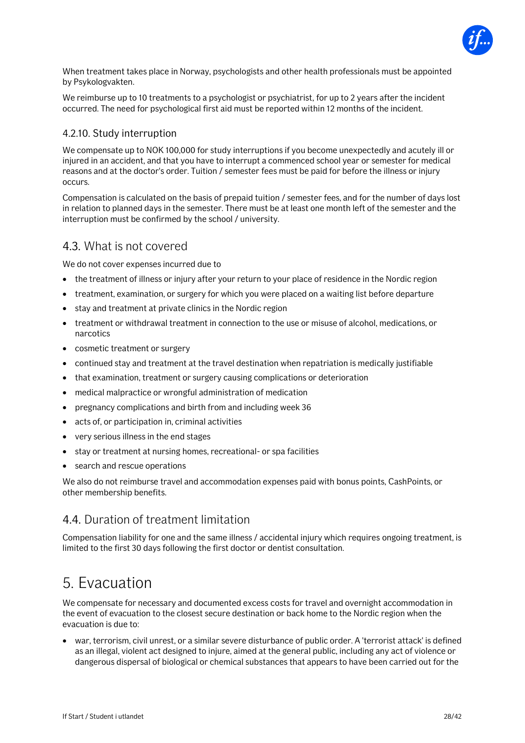

When treatment takes place in Norway, psychologists and other health professionals must be appointed by Psykologvakten.

We reimburse up to 10 treatments to a psychologist or psychiatrist, for up to 2 years after the incident occurred. The need for psychological first aid must be reported within 12 months of the incident.

#### 4.2.10. Study interruption

We compensate up to NOK 100,000 for study interruptions if you become unexpectedly and acutely ill or injured in an accident, and that you have to interrupt a commenced school year or semester for medical reasons and at the doctor's order. Tuition / semester fees must be paid for before the illness or injury occurs.

Compensation is calculated on the basis of prepaid tuition / semester fees, and for the number of days lost in relation to planned days in the semester. There must be at least one month left of the semester and the interruption must be confirmed by the school / university.

### 4.3. What is not covered

We do not cover expenses incurred due to

- the treatment of illness or injury after your return to your place of residence in the Nordic region
- treatment, examination, or surgery for which you were placed on a waiting list before departure
- stay and treatment at private clinics in the Nordic region
- treatment or withdrawal treatment in connection to the use or misuse of alcohol, medications, or narcotics
- cosmetic treatment or surgery
- continued stay and treatment at the travel destination when repatriation is medically justifiable
- that examination, treatment or surgery causing complications or deterioration
- medical malpractice or wrongful administration of medication
- pregnancy complications and birth from and including week 36
- acts of, or participation in, criminal activities
- very serious illness in the end stages
- stay or treatment at nursing homes, recreational- or spa facilities
- search and rescue operations

We also do not reimburse travel and accommodation expenses paid with bonus points, CashPoints, or other membership benefits.

## 4.4. Duration of treatment limitation

<span id="page-27-0"></span>Compensation liability for one and the same illness / accidental injury which requires ongoing treatment, is limited to the first 30 days following the first doctor or dentist consultation.

## 5. Evacuation

We compensate for necessary and documented excess costs for travel and overnight accommodation in the event of evacuation to the closest secure destination or back home to the Nordic region when the evacuation is due to:

• war, terrorism, civil unrest, or a similar severe disturbance of public order. A 'terrorist attack' is defined as an illegal, violent act designed to injure, aimed at the general public, including any act of violence or dangerous dispersal of biological or chemical substances that appears to have been carried out for the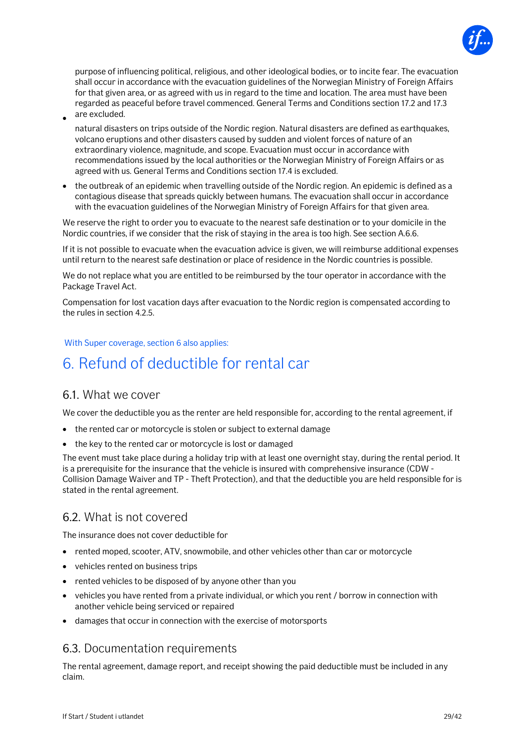

purpose of influencing political, religious, and other ideological bodies, or to incite fear. The evacuation shall occur in accordance with the evacuation guidelines of the Norwegian Ministry of Foreign Affairs for that given area, or as agreed with us in regard to the time and location. The area must have been regarded as peaceful before travel commenced. General Terms and Conditions section 17.2 and 17.3 are excluded.

- natural disasters on trips outside of the Nordic region. Natural disasters are defined as earthquakes, volcano eruptions and other disasters caused by sudden and violent forces of nature of an extraordinary violence, magnitude, and scope. Evacuation must occur in accordance with recommendations issued by the local authorities or the Norwegian Ministry of Foreign Affairs or as agreed with us. General Terms and Conditions section 17.4 is excluded.
- the outbreak of an epidemic when travelling outside of the Nordic region. An epidemic is defined as a contagious disease that spreads quickly between humans. The evacuation shall occur in accordance with the evacuation guidelines of the Norwegian Ministry of Foreign Affairs for that given area.

We reserve the right to order you to evacuate to the nearest safe destination or to your domicile in the Nordic countries, if we consider that the risk of staying in the area is too high. See section A.6.6.

If it is not possible to evacuate when the evacuation advice is given, we will reimburse additional expenses until return to the nearest safe destination or place of residence in the Nordic countries is possible.

We do not replace what you are entitled to be reimbursed by the tour operator in accordance with the Package Travel Act.

Compensation for lost vacation days after evacuation to the Nordic region is compensated according to the rules in section 4.2.5.

#### <span id="page-28-0"></span>With Super coverage, section 6 also applies:

## 6. Refund of deductible for rental car

#### 6.1. What we cover

•

We cover the deductible you as the renter are held responsible for, according to the rental agreement, if

- the rented car or motorcycle is stolen or subject to external damage
- the key to the rented car or motorcycle is lost or damaged

The event must take place during a holiday trip with at least one overnight stay, during the rental period. It is a prerequisite for the insurance that the vehicle is insured with comprehensive insurance (CDW - Collision Damage Waiver and TP - Theft Protection), and that the deductible you are held responsible for is stated in the rental agreement.

## 6.2. What is not covered

The insurance does not cover deductible for

- rented moped, scooter, ATV, snowmobile, and other vehicles other than car or motorcycle
- vehicles rented on business trips
- rented vehicles to be disposed of by anyone other than you
- vehicles you have rented from a private individual, or which you rent / borrow in connection with another vehicle being serviced or repaired
- damages that occur in connection with the exercise of motorsports

#### 6.3. Documentation requirements

The rental agreement, damage report, and receipt showing the paid deductible must be included in any claim.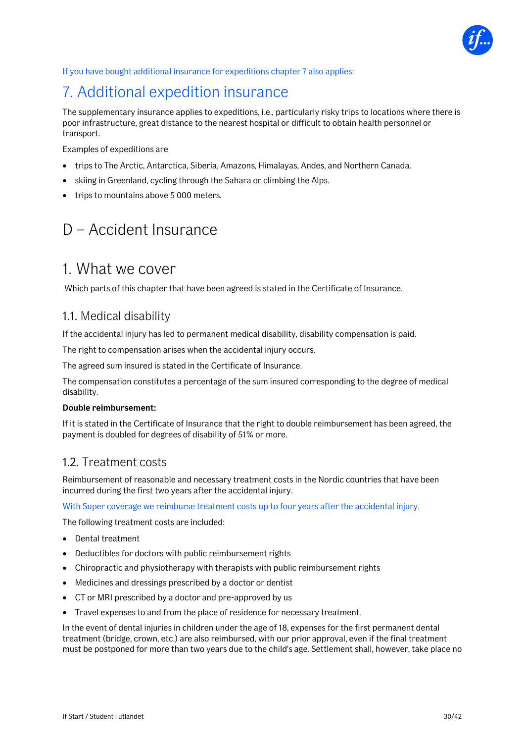

If you have bought additional insurance for expeditions chapter 7 also applies:

## <span id="page-29-0"></span>7. Additional expedition insurance

The supplementary insurance applies to expeditions, i.e., particularly risky trips to locations where there is poor infrastructure, great distance to the nearest hospital or difficult to obtain health personnel or transport.

Examples of expeditions are

- trips to The Arctic, Antarctica, Siberia, Amazons, Himalayas, Andes, and Northern Canada.
- skiing in Greenland, cycling through the Sahara or climbing the Alps.
- <span id="page-29-1"></span>• trips to mountains above 5 000 meters.

## D – Accident Insurance

## <span id="page-29-2"></span>1. What we cover

Which parts of this chapter that have been agreed is stated in the Certificate of Insurance.

### 1.1. Medical disability

If the accidental injury has led to permanent medical disability, disability compensation is paid.

The right to compensation arises when the accidental injury occurs.

The agreed sum insured is stated in the Certificate of Insurance.

The compensation constitutes a percentage of the sum insured corresponding to the degree of medical disability.

#### **Double reimbursement:**

If it is stated in the Certificate of Insurance that the right to double reimbursement has been agreed, the payment is doubled for degrees of disability of 51% or more.

### 1.2. Treatment costs

Reimbursement of reasonable and necessary treatment costs in the Nordic countries that have been incurred during the first two years after the accidental injury.

With Super coverage we reimburse treatment costs up to four years after the accidental injury.

The following treatment costs are included:

- Dental treatment
- Deductibles for doctors with public reimbursement rights
- Chiropractic and physiotherapy with therapists with public reimbursement rights
- Medicines and dressings prescribed by a doctor or dentist
- CT or MRI prescribed by a doctor and pre-approved by us
- Travel expenses to and from the place of residence for necessary treatment.

In the event of dental injuries in children under the age of 18, expenses for the first permanent dental treatment (bridge, crown, etc.) are also reimbursed, with our prior approval, even if the final treatment must be postponed for more than two years due to the child's age. Settlement shall, however, take place no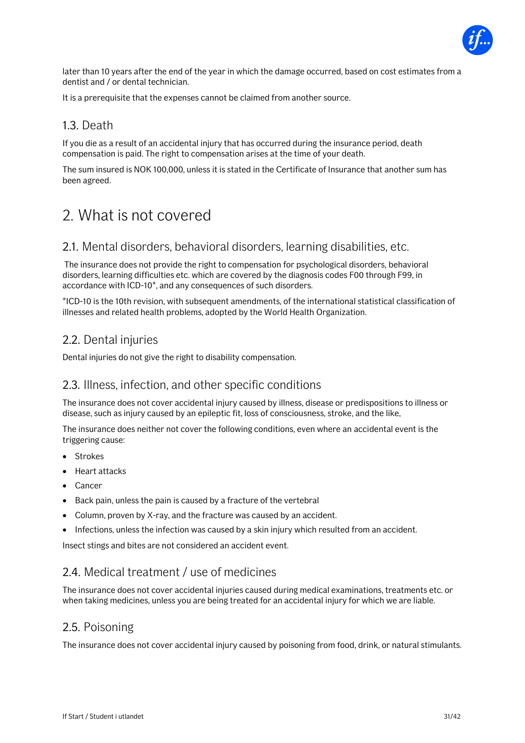

later than 10 years after the end of the year in which the damage occurred, based on cost estimates from a dentist and / or dental technician.

It is a prerequisite that the expenses cannot be claimed from another source.

### 1.3. Death

If you die as a result of an accidental injury that has occurred during the insurance period, death compensation is paid. The right to compensation arises at the time of your death.

The sum insured is NOK 100,000, unless it is stated in the Certificate of Insurance that another sum has been agreed.

## <span id="page-30-0"></span>2. What is not covered

#### 2.1. Mental disorders, behavioral disorders, learning disabilities, etc.

The insurance does not provide the right to compensation for psychological disorders, behavioral disorders, learning difficulties etc. which are covered by the diagnosis codes F00 through F99, in accordance with ICD-10\*, and any consequences of such disorders.

\*ICD-10 is the 10th revision, with subsequent amendments, of the international statistical classification of illnesses and related health problems, adopted by the World Health Organization.

## 2.2. Dental injuries

Dental injuries do not give the right to disability compensation.

### 2.3. Illness, infection, and other specific conditions

The insurance does not cover accidental injury caused by illness, disease or predispositions to illness or disease, such as injury caused by an epileptic fit, loss of consciousness, stroke, and the like,

The insurance does neither not cover the following conditions, even where an accidental event is the triggering cause:

- **Strokes**
- Heart attacks
- Cancer
- Back pain, unless the pain is caused by a fracture of the vertebral
- Column, proven by X-ray, and the fracture was caused by an accident.
- Infections, unless the infection was caused by a skin injury which resulted from an accident.

Insect stings and bites are not considered an accident event.

## 2.4. Medical treatment / use of medicines

The insurance does not cover accidental injuries caused during medical examinations, treatments etc. or when taking medicines, unless you are being treated for an accidental injury for which we are liable.

### 2.5. Poisoning

The insurance does not cover accidental injury caused by poisoning from food, drink, or natural stimulants.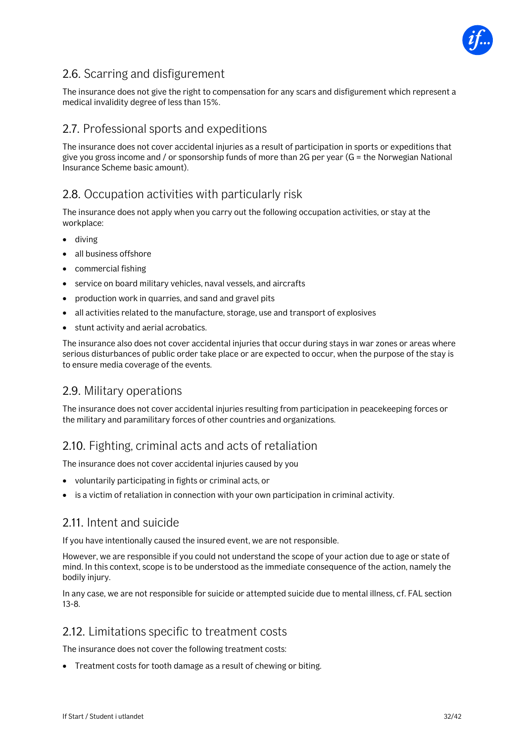

## 2.6. Scarring and disfigurement

The insurance does not give the right to compensation for any scars and disfigurement which represent a medical invalidity degree of less than 15%.

## 2.7. Professional sports and expeditions

The insurance does not cover accidental injuries as a result of participation in sports or expeditions that give you gross income and / or sponsorship funds of more than 2G per year (G = the Norwegian National Insurance Scheme basic amount).

## 2.8. Occupation activities with particularly risk

The insurance does not apply when you carry out the following occupation activities, or stay at the workplace:

- diving
- all business offshore
- commercial fishing
- service on board military vehicles, naval vessels, and aircrafts
- production work in quarries, and sand and gravel pits
- all activities related to the manufacture, storage, use and transport of explosives
- stunt activity and aerial acrobatics.

The insurance also does not cover accidental injuries that occur during stays in war zones or areas where serious disturbances of public order take place or are expected to occur, when the purpose of the stay is to ensure media coverage of the events.

## 2.9. Military operations

The insurance does not cover accidental injuries resulting from participation in peacekeeping forces or the military and paramilitary forces of other countries and organizations.

## 2.10. Fighting, criminal acts and acts of retaliation

The insurance does not cover accidental injuries caused by you

- voluntarily participating in fights or criminal acts, or
- is a victim of retaliation in connection with your own participation in criminal activity.

### 2.11. Intent and suicide

If you have intentionally caused the insured event, we are not responsible.

However, we are responsible if you could not understand the scope of your action due to age or state of mind. In this context, scope is to be understood as the immediate consequence of the action, namely the bodily injury.

In any case, we are not responsible for suicide or attempted suicide due to mental illness, cf. FAL section 13-8.

## 2.12. Limitations specific to treatment costs

The insurance does not cover the following treatment costs:

• Treatment costs for tooth damage as a result of chewing or biting.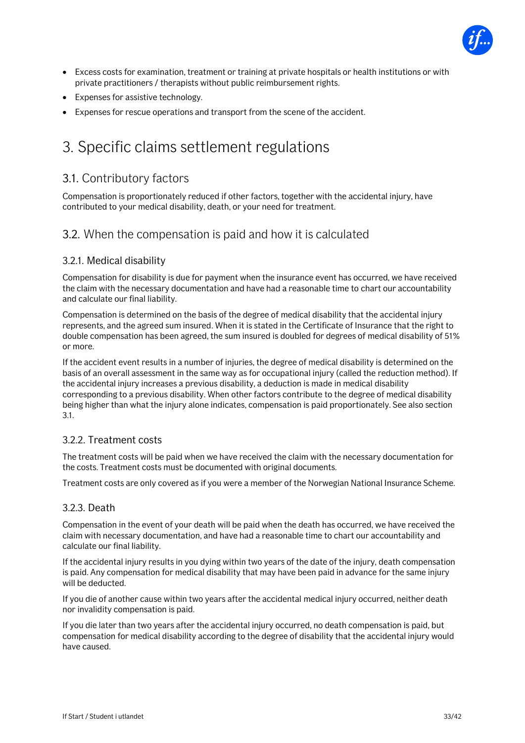

- Excess costs for examination, treatment or training at private hospitals or health institutions or with private practitioners / therapists without public reimbursement rights.
- Expenses for assistive technology.
- <span id="page-32-0"></span>• Expenses for rescue operations and transport from the scene of the accident.

## 3. Specific claims settlement regulations

## 3.1. Contributory factors

Compensation is proportionately reduced if other factors, together with the accidental injury, have contributed to your medical disability, death, or your need for treatment.

### 3.2. When the compensation is paid and how it is calculated

#### 3.2.1. Medical disability

Compensation for disability is due for payment when the insurance event has occurred, we have received the claim with the necessary documentation and have had a reasonable time to chart our accountability and calculate our final liability.

Compensation is determined on the basis of the degree of medical disability that the accidental injury represents, and the agreed sum insured. When it is stated in the Certificate of Insurance that the right to double compensation has been agreed, the sum insured is doubled for degrees of medical disability of 51% or more.

If the accident event results in a number of injuries, the degree of medical disability is determined on the basis of an overall assessment in the same way as for occupational injury (called the reduction method). If the accidental injury increases a previous disability, a deduction is made in medical disability corresponding to a previous disability. When other factors contribute to the degree of medical disability being higher than what the injury alone indicates, compensation is paid proportionately. See also section 3.1.

#### 3.2.2. Treatment costs

The treatment costs will be paid when we have received the claim with the necessary documentation for the costs. Treatment costs must be documented with original documents.

Treatment costs are only covered as if you were a member of the Norwegian National Insurance Scheme.

#### 3.2.3. Death

Compensation in the event of your death will be paid when the death has occurred, we have received the claim with necessary documentation, and have had a reasonable time to chart our accountability and calculate our final liability.

If the accidental injury results in you dying within two years of the date of the injury, death compensation is paid. Any compensation for medical disability that may have been paid in advance for the same injury will be deducted.

If you die of another cause within two years after the accidental medical injury occurred, neither death nor invalidity compensation is paid.

If you die later than two years after the accidental injury occurred, no death compensation is paid, but compensation for medical disability according to the degree of disability that the accidental injury would have caused.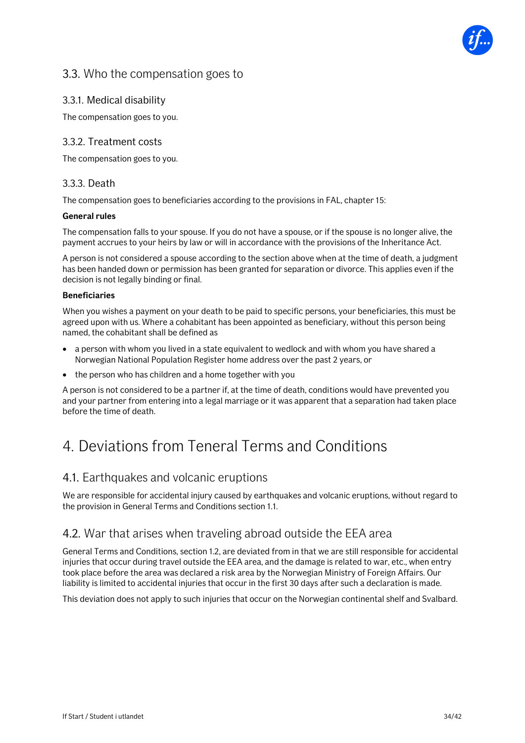

## 3.3. Who the compensation goes to

#### 3.3.1. Medical disability

The compensation goes to you.

#### 3.3.2. Treatment costs

The compensation goes to you.

#### 3.3.3. Death

The compensation goes to beneficiaries according to the provisions in FAL, chapter 15:

#### **General rules**

The compensation falls to your spouse. If you do not have a spouse, or if the spouse is no longer alive, the payment accrues to your heirs by law or will in accordance with the provisions of the Inheritance Act.

A person is not considered a spouse according to the section above when at the time of death, a judgment has been handed down or permission has been granted for separation or divorce. This applies even if the decision is not legally binding or final.

#### **Beneficiaries**

When you wishes a payment on your death to be paid to specific persons, your beneficiaries, this must be agreed upon with us. Where a cohabitant has been appointed as beneficiary, without this person being named, the cohabitant shall be defined as

- a person with whom you lived in a state equivalent to wedlock and with whom you have shared a Norwegian National Population Register home address over the past 2 years, or
- the person who has children and a home together with you

A person is not considered to be a partner if, at the time of death, conditions would have prevented you and your partner from entering into a legal marriage or it was apparent that a separation had taken place before the time of death.

## <span id="page-33-0"></span>4. Deviations from Teneral Terms and Conditions

### 4.1. Earthquakes and volcanic eruptions

We are responsible for accidental injury caused by earthquakes and volcanic eruptions, without regard to the provision in General Terms and Conditions section 1.1.

## 4.2. War that arises when traveling abroad outside the EEA area

General Terms and Conditions, section 1.2, are deviated from in that we are still responsible for accidental injuries that occur during travel outside the EEA area, and the damage is related to war, etc., when entry took place before the area was declared a risk area by the Norwegian Ministry of Foreign Affairs. Our liability is limited to accidental injuries that occur in the first 30 days after such a declaration is made.

This deviation does not apply to such injuries that occur on the Norwegian continental shelf and Svalbard.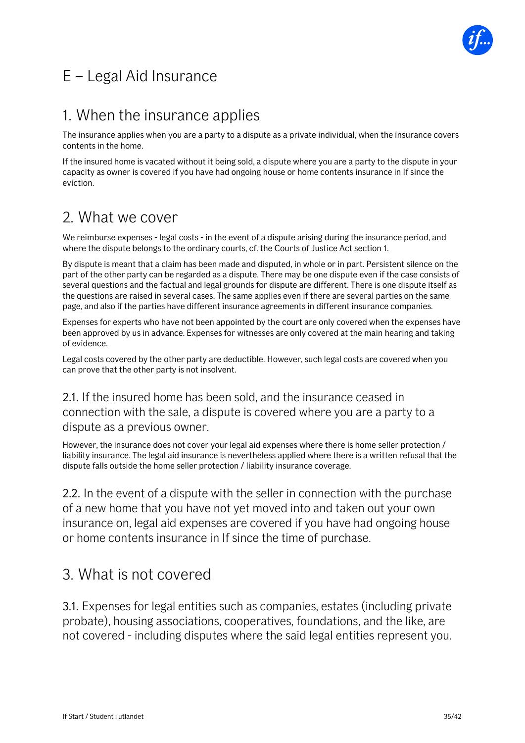

## <span id="page-34-0"></span>E – Legal Aid Insurance

## <span id="page-34-1"></span>1. When the insurance applies

The insurance applies when you are a party to a dispute as a private individual, when the insurance covers contents in the home.

If the insured home is vacated without it being sold, a dispute where you are a party to the dispute in your capacity as owner is covered if you have had ongoing house or home contents insurance in If since the eviction.

## <span id="page-34-2"></span>2. What we cover

We reimburse expenses - legal costs - in the event of a dispute arising during the insurance period, and where the dispute belongs to the ordinary courts, cf. the Courts of Justice Act section 1.

By dispute is meant that a claim has been made and disputed, in whole or in part. Persistent silence on the part of the other party can be regarded as a dispute. There may be one dispute even if the case consists of several questions and the factual and legal grounds for dispute are different. There is one dispute itself as the questions are raised in several cases. The same applies even if there are several parties on the same page, and also if the parties have different insurance agreements in different insurance companies.

Expenses for experts who have not been appointed by the court are only covered when the expenses have been approved by us in advance. Expenses for witnesses are only covered at the main hearing and taking of evidence.

Legal costs covered by the other party are deductible. However, such legal costs are covered when you can prove that the other party is not insolvent.

## 2.1. If the insured home has been sold, and the insurance ceased in connection with the sale, a dispute is covered where you are a party to a dispute as a previous owner.

However, the insurance does not cover your legal aid expenses where there is home seller protection / liability insurance. The legal aid insurance is nevertheless applied where there is a written refusal that the dispute falls outside the home seller protection / liability insurance coverage.

2.2. In the event of a dispute with the seller in connection with the purchase of a new home that you have not yet moved into and taken out your own insurance on, legal aid expenses are covered if you have had ongoing house or home contents insurance in If since the time of purchase.

## <span id="page-34-3"></span>3. What is not covered

3.1. Expenses for legal entities such as companies, estates (including private probate), housing associations, cooperatives, foundations, and the like, are not covered - including disputes where the said legal entities represent you.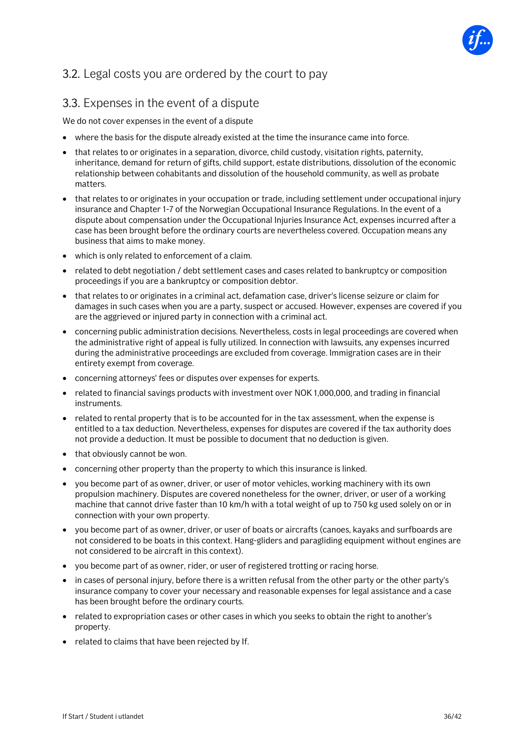

## 3.2. Legal costs you are ordered by the court to pay

## 3.3. Expenses in the event of a dispute

We do not cover expenses in the event of a dispute

- where the basis for the dispute already existed at the time the insurance came into force.
- that relates to or originates in a separation, divorce, child custody, visitation rights, paternity, inheritance, demand for return of gifts, child support, estate distributions, dissolution of the economic relationship between cohabitants and dissolution of the household community, as well as probate matters.
- that relates to or originates in your occupation or trade, including settlement under occupational injury insurance and Chapter 1-7 of the Norwegian Occupational Insurance Regulations. In the event of a dispute about compensation under the Occupational Injuries Insurance Act, expenses incurred after a case has been brought before the ordinary courts are nevertheless covered. Occupation means any business that aims to make money.
- which is only related to enforcement of a claim.
- related to debt negotiation / debt settlement cases and cases related to bankruptcy or composition proceedings if you are a bankruptcy or composition debtor.
- that relates to or originates in a criminal act, defamation case, driver's license seizure or claim for damages in such cases when you are a party, suspect or accused. However, expenses are covered if you are the aggrieved or injured party in connection with a criminal act.
- concerning public administration decisions. Nevertheless, costs in legal proceedings are covered when the administrative right of appeal is fully utilized. In connection with lawsuits, any expenses incurred during the administrative proceedings are excluded from coverage. Immigration cases are in their entirety exempt from coverage.
- concerning attorneys' fees or disputes over expenses for experts.
- related to financial savings products with investment over NOK 1,000,000, and trading in financial instruments.
- related to rental property that is to be accounted for in the tax assessment, when the expense is entitled to a tax deduction. Nevertheless, expenses for disputes are covered if the tax authority does not provide a deduction. It must be possible to document that no deduction is given.
- that obviously cannot be won.
- concerning other property than the property to which this insurance is linked.
- you become part of as owner, driver, or user of motor vehicles, working machinery with its own propulsion machinery. Disputes are covered nonetheless for the owner, driver, or user of a working machine that cannot drive faster than 10 km/h with a total weight of up to 750 kg used solely on or in connection with your own property.
- you become part of as owner, driver, or user of boats or aircrafts (canoes, kayaks and surfboards are not considered to be boats in this context. Hang-gliders and paragliding equipment without engines are not considered to be aircraft in this context).
- you become part of as owner, rider, or user of registered trotting or racing horse.
- in cases of personal injury, before there is a written refusal from the other party or the other party's insurance company to cover your necessary and reasonable expenses for legal assistance and a case has been brought before the ordinary courts.
- related to expropriation cases or other cases in which you seeks to obtain the right to another's property.
- related to claims that have been rejected by If.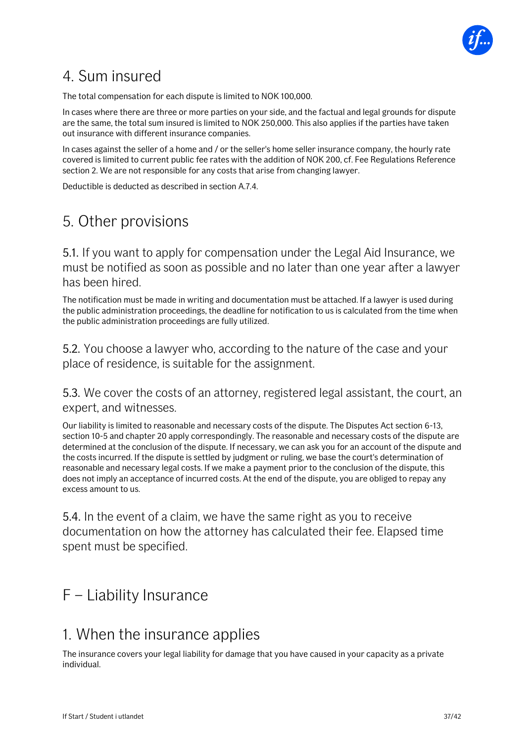

## <span id="page-36-0"></span>4. Sum insured

The total compensation for each dispute is limited to NOK 100,000.

In cases where there are three or more parties on your side, and the factual and legal grounds for dispute are the same, the total sum insured is limited to NOK 250,000. This also applies if the parties have taken out insurance with different insurance companies.

In cases against the seller of a home and / or the seller's home seller insurance company, the hourly rate covered is limited to current public fee rates with the addition of NOK 200, cf. Fee Regulations Reference section 2. We are not responsible for any costs that arise from changing lawyer.

Deductible is deducted as described in section A.7.4.

## <span id="page-36-1"></span>5. Other provisions

5.1. If you want to apply for compensation under the Legal Aid Insurance, we must be notified as soon as possible and no later than one year after a lawyer has been hired.

The notification must be made in writing and documentation must be attached. If a lawyer is used during the public administration proceedings, the deadline for notification to us is calculated from the time when the public administration proceedings are fully utilized.

5.2. You choose a lawyer who, according to the nature of the case and your place of residence, is suitable for the assignment.

## 5.3. We cover the costs of an attorney, registered legal assistant, the court, an expert, and witnesses.

Our liability is limited to reasonable and necessary costs of the dispute. The Disputes Act section 6-13, section 10-5 and chapter 20 apply correspondingly. The reasonable and necessary costs of the dispute are determined at the conclusion of the dispute. If necessary, we can ask you for an account of the dispute and the costs incurred. If the dispute is settled by judgment or ruling, we base the court's determination of reasonable and necessary legal costs. If we make a payment prior to the conclusion of the dispute, this does not imply an acceptance of incurred costs. At the end of the dispute, you are obliged to repay any excess amount to us.

5.4. In the event of a claim, we have the same right as you to receive documentation on how the attorney has calculated their fee. Elapsed time spent must be specified.

## <span id="page-36-2"></span>F – Liability Insurance

## <span id="page-36-3"></span>1. When the insurance applies

The insurance covers your legal liability for damage that you have caused in your capacity as a private individual.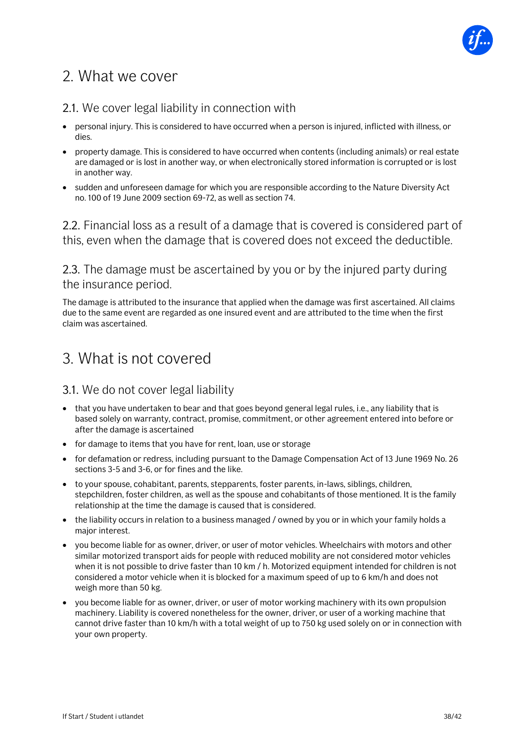

## <span id="page-37-0"></span>2. What we cover

## 2.1. We cover legal liability in connection with

- personal injury. This is considered to have occurred when a person is injured, inflicted with illness, or dies.
- property damage. This is considered to have occurred when contents (including animals) or real estate are damaged or is lost in another way, or when electronically stored information is corrupted or is lost in another way.
- sudden and unforeseen damage for which you are responsible according to the Nature Diversity Act no. 100 of 19 June 2009 section 69-72, as well as section 74.

2.2. Financial loss as a result of a damage that is covered is considered part of this, even when the damage that is covered does not exceed the deductible.

2.3. The damage must be ascertained by you or by the injured party during the insurance period.

The damage is attributed to the insurance that applied when the damage was first ascertained. All claims due to the same event are regarded as one insured event and are attributed to the time when the first claim was ascertained.

## <span id="page-37-1"></span>3. What is not covered

## 3.1. We do not cover legal liability

- that you have undertaken to bear and that goes beyond general legal rules, i.e., any liability that is based solely on warranty, contract, promise, commitment, or other agreement entered into before or after the damage is ascertained
- for damage to items that you have for rent, loan, use or storage
- for defamation or redress, including pursuant to the Damage Compensation Act of 13 June 1969 No. 26 sections 3-5 and 3-6, or for fines and the like.
- to your spouse, cohabitant, parents, stepparents, foster parents, in-laws, siblings, children, stepchildren, foster children, as well as the spouse and cohabitants of those mentioned. It is the family relationship at the time the damage is caused that is considered.
- the liability occurs in relation to a business managed / owned by you or in which your family holds a major interest.
- you become liable for as owner, driver, or user of motor vehicles. Wheelchairs with motors and other similar motorized transport aids for people with reduced mobility are not considered motor vehicles when it is not possible to drive faster than 10 km / h. Motorized equipment intended for children is not considered a motor vehicle when it is blocked for a maximum speed of up to 6 km/h and does not weigh more than 50 kg.
- you become liable for as owner, driver, or user of motor working machinery with its own propulsion machinery. Liability is covered nonetheless for the owner, driver, or user of a working machine that cannot drive faster than 10 km/h with a total weight of up to 750 kg used solely on or in connection with your own property.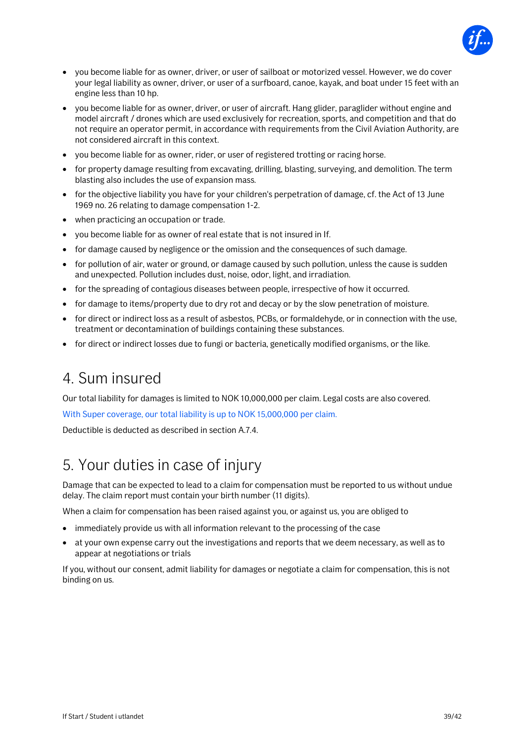

- you become liable for as owner, driver, or user of sailboat or motorized vessel. However, we do cover your legal liability as owner, driver, or user of a surfboard, canoe, kayak, and boat under 15 feet with an engine less than 10 hp.
- you become liable for as owner, driver, or user of aircraft. Hang glider, paraglider without engine and model aircraft / drones which are used exclusively for recreation, sports, and competition and that do not require an operator permit, in accordance with requirements from the Civil Aviation Authority, are not considered aircraft in this context.
- you become liable for as owner, rider, or user of registered trotting or racing horse.
- for property damage resulting from excavating, drilling, blasting, surveying, and demolition. The term blasting also includes the use of expansion mass.
- for the objective liability you have for your children's perpetration of damage, cf. the Act of 13 June 1969 no. 26 relating to damage compensation 1-2.
- when practicing an occupation or trade.
- you become liable for as owner of real estate that is not insured in If.
- for damage caused by negligence or the omission and the consequences of such damage.
- for pollution of air, water or ground, or damage caused by such pollution, unless the cause is sudden and unexpected. Pollution includes dust, noise, odor, light, and irradiation.
- for the spreading of contagious diseases between people, irrespective of how it occurred.
- for damage to items/property due to dry rot and decay or by the slow penetration of moisture.
- for direct or indirect loss as a result of asbestos, PCBs, or formaldehyde, or in connection with the use, treatment or decontamination of buildings containing these substances.
- <span id="page-38-0"></span>• for direct or indirect losses due to fungi or bacteria, genetically modified organisms, or the like.

## 4. Sum insured

Our total liability for damages is limited to NOK 10,000,000 per claim. Legal costs are also covered.

With Super coverage, our total liability is up to NOK 15,000,000 per claim.

Deductible is deducted as described in section A.7.4.

## <span id="page-38-1"></span>5. Your duties in case of injury

Damage that can be expected to lead to a claim for compensation must be reported to us without undue delay. The claim report must contain your birth number (11 digits).

When a claim for compensation has been raised against you, or against us, you are obliged to

- immediately provide us with all information relevant to the processing of the case
- at your own expense carry out the investigations and reports that we deem necessary, as well as to appear at negotiations or trials

If you, without our consent, admit liability for damages or negotiate a claim for compensation, this is not binding on us.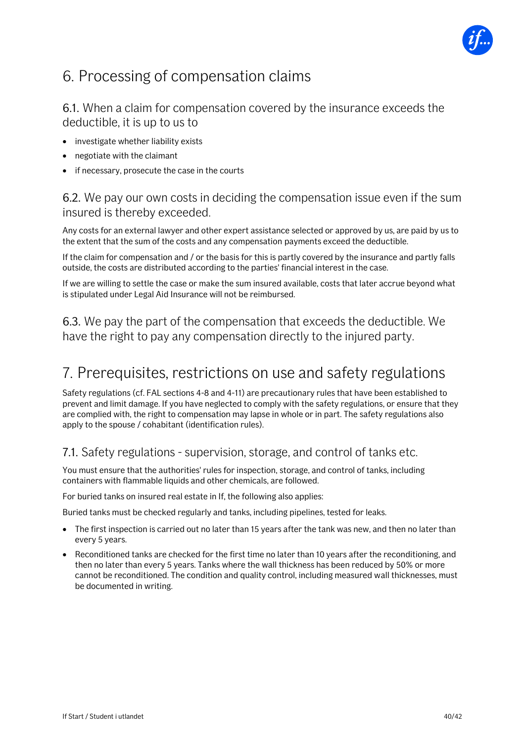

## <span id="page-39-0"></span>6. Processing of compensation claims

## 6.1. When a claim for compensation covered by the insurance exceeds the deductible, it is up to us to

- investigate whether liability exists
- negotiate with the claimant
- if necessary, prosecute the case in the courts

## 6.2. We pay our own costs in deciding the compensation issue even if the sum insured is thereby exceeded.

Any costs for an external lawyer and other expert assistance selected or approved by us, are paid by us to the extent that the sum of the costs and any compensation payments exceed the deductible.

If the claim for compensation and / or the basis for this is partly covered by the insurance and partly falls outside, the costs are distributed according to the parties' financial interest in the case.

If we are willing to settle the case or make the sum insured available, costs that later accrue beyond what is stipulated under Legal Aid Insurance will not be reimbursed.

6.3. We pay the part of the compensation that exceeds the deductible. We have the right to pay any compensation directly to the injured party.

## <span id="page-39-1"></span>7. Prerequisites, restrictions on use and safety regulations

Safety regulations (cf. FAL sections 4-8 and 4-11) are precautionary rules that have been established to prevent and limit damage. If you have neglected to comply with the safety regulations, or ensure that they are complied with, the right to compensation may lapse in whole or in part. The safety regulations also apply to the spouse / cohabitant (identification rules).

## 7.1. Safety regulations - supervision, storage, and control of tanks etc.

You must ensure that the authorities' rules for inspection, storage, and control of tanks, including containers with flammable liquids and other chemicals, are followed.

For buried tanks on insured real estate in If, the following also applies:

Buried tanks must be checked regularly and tanks, including pipelines, tested for leaks.

- The first inspection is carried out no later than 15 years after the tank was new, and then no later than every 5 years.
- Reconditioned tanks are checked for the first time no later than 10 years after the reconditioning, and then no later than every 5 years. Tanks where the wall thickness has been reduced by 50% or more cannot be reconditioned. The condition and quality control, including measured wall thicknesses, must be documented in writing.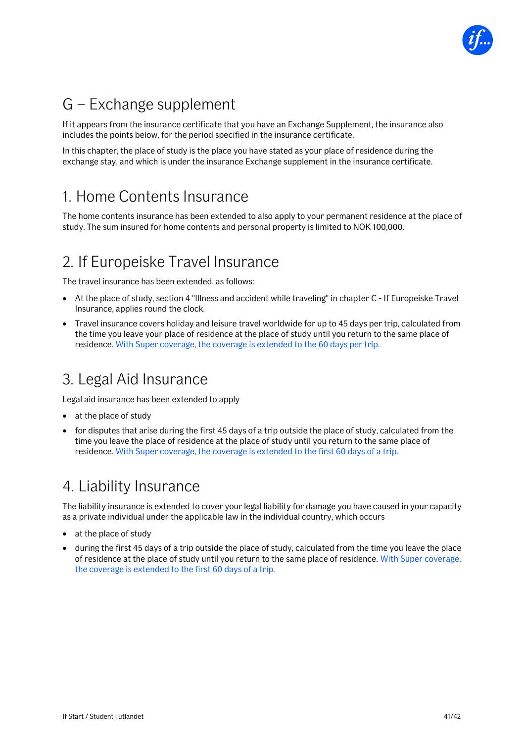

## <span id="page-40-0"></span>G – Exchange supplement

If it appears from the insurance certificate that you have an Exchange Supplement, the insurance also includes the points below, for the period specified in the insurance certificate.

In this chapter, the place of study is the place you have stated as your place of residence during the exchange stay, and which is under the insurance Exchange supplement in the insurance certificate.

## <span id="page-40-1"></span>1. Home Contents Insurance

The home contents insurance has been extended to also apply to your permanent residence at the place of study. The sum insured for home contents and personal property is limited to NOK 100,000.

## <span id="page-40-2"></span>2. If Europeiske Travel Insurance

The travel insurance has been extended, as follows:

- At the place of study, section 4 "Illness and accident while traveling" in chapter C If Europeiske Travel Insurance, applies round the clock.
- Travel insurance covers holiday and leisure travel worldwide for up to 45 days per trip, calculated from the time you leave your place of residence at the place of study until you return to the same place of residence. With Super coverage, the coverage is extended to the 60 days per trip.

## <span id="page-40-3"></span>3. Legal Aid Insurance

Legal aid insurance has been extended to apply

- at the place of study
- for disputes that arise during the first 45 days of a trip outside the place of study, calculated from the time you leave the place of residence at the place of study until you return to the same place of residence. With Super coverage, the coverage is extended to the first 60 days of a trip.

## <span id="page-40-4"></span>4. Liability Insurance

The liability insurance is extended to cover your legal liability for damage you have caused in your capacity as a private individual under the applicable law in the individual country, which occurs

- at the place of study
- during the first 45 days of a trip outside the place of study, calculated from the time you leave the place of residence at the place of study until you return to the same place of residence. With Super coverage, the coverage is extended to the first 60 days of a trip.